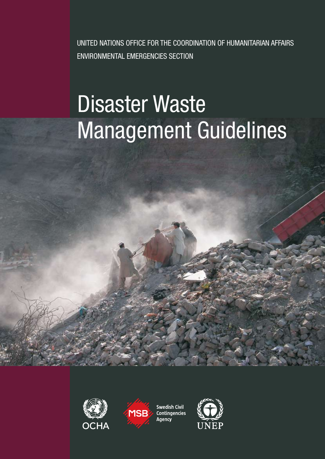UNITED NATIONS OFFICE FOR THE COORDINATION OF HUMANITARIAN AFFAIRS ENVIRONMENTAL EMERGENCIES SECTION

# Disaster Waste Management Guidelines





**MSB** 

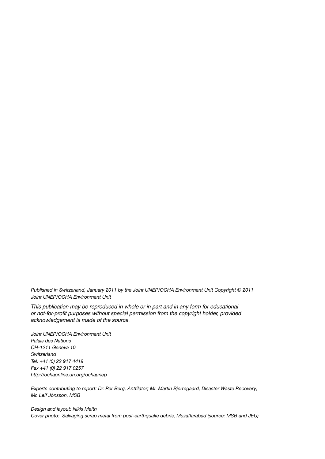*Published in Switzerland, January 2011 by the Joint UNEP/OCHA Environment Unit Copyright © 2011 Joint UNEP/OCHA Environment Unit* 

This publication may be reproduced in whole or in part and in any form for educational or not-for-profit purposes without special permission from the copyright holder, provided acknowledgement is made of the source.

*Joint UNEP/OCHA Environment Unit Palais des Nations CH-1211 Geneva 10 Switzerland Tel. +41 (0) 22 917 4419 Fax +41 (0) 22 917 0257 http://ochaonline.un.org/ochaunep* 

*Experts contributing to report: Dr. Per Berg, Anttilator; Mr. Martin Bjerregaard, Disaster Waste Recovery; Mr. Leif Jönsson, MSB*

*Design and layout: Nikki Meith Cover photo: Salvaging scrap metal from post-earthquake debris, Muzaffarabad (source: MSB and JEU)*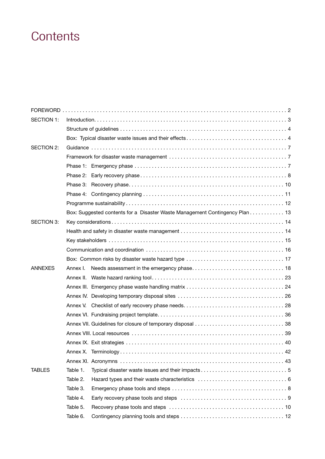# **Contents**

| SECTION 1:        |          |                                                                             |  |  |  |  |  |
|-------------------|----------|-----------------------------------------------------------------------------|--|--|--|--|--|
|                   |          |                                                                             |  |  |  |  |  |
|                   |          |                                                                             |  |  |  |  |  |
| <b>SECTION 2:</b> |          |                                                                             |  |  |  |  |  |
|                   |          |                                                                             |  |  |  |  |  |
|                   |          |                                                                             |  |  |  |  |  |
|                   |          |                                                                             |  |  |  |  |  |
|                   |          |                                                                             |  |  |  |  |  |
|                   |          |                                                                             |  |  |  |  |  |
|                   |          |                                                                             |  |  |  |  |  |
|                   |          | Box: Suggested contents for a Disaster Waste Management Contingency Plan 13 |  |  |  |  |  |
| <b>SECTION 3:</b> |          |                                                                             |  |  |  |  |  |
|                   |          |                                                                             |  |  |  |  |  |
|                   |          |                                                                             |  |  |  |  |  |
|                   |          |                                                                             |  |  |  |  |  |
|                   |          |                                                                             |  |  |  |  |  |
| <b>ANNEXES</b>    | Annex I. |                                                                             |  |  |  |  |  |
|                   |          |                                                                             |  |  |  |  |  |
|                   |          |                                                                             |  |  |  |  |  |
|                   |          |                                                                             |  |  |  |  |  |
|                   |          |                                                                             |  |  |  |  |  |
|                   |          |                                                                             |  |  |  |  |  |
|                   |          |                                                                             |  |  |  |  |  |
|                   |          |                                                                             |  |  |  |  |  |
|                   |          |                                                                             |  |  |  |  |  |
|                   |          |                                                                             |  |  |  |  |  |
|                   |          |                                                                             |  |  |  |  |  |
| <b>TABLES</b>     | Table 1. |                                                                             |  |  |  |  |  |
|                   | Table 2. |                                                                             |  |  |  |  |  |
|                   | Table 3. |                                                                             |  |  |  |  |  |
|                   | Table 4. |                                                                             |  |  |  |  |  |
|                   | Table 5. |                                                                             |  |  |  |  |  |
|                   | Table 6. |                                                                             |  |  |  |  |  |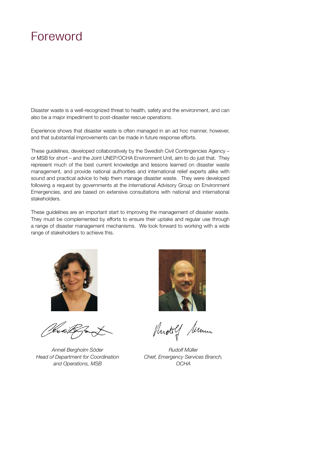# Foreword

Disaster waste is a well-recognized threat to health, safety and the environment, and can also be a major impediment to post-disaster rescue operations.

Experience shows that disaster waste is often managed in an ad hoc manner, however, and that substantial improvements can be made in future response efforts.

These guidelines, developed collaboratively by the Swedish Civil Contingencies Agency – or MSB for short – and the Joint UNEP/OCHA Environment Unit, aim to do just that. They represent much of the best current knowledge and lessons learned on disaster waste management, and provide national authorities and international relief experts alike with sound and practical advice to help them manage disaster waste. They were developed following a request by governments at the international Advisory Group on Environment Emergencies, and are based on extensive consultations with national and international stakeholders.

These guidelines are an important start to improving the management of disaster waste. They must be complemented by efforts to ensure their uptake and regular use through a range of disaster management mechanisms. We look forward to working with a wide range of stakeholders to achieve this.



*Anneli Bergholm Söder Head of Department for Coordination and Operations, MSB*



Plustelf Summ

*Rudolf Müller Chief, Emergency Services Branch, OCHA*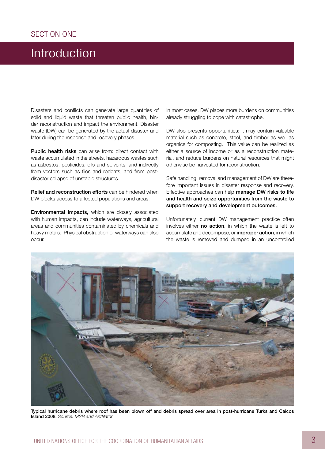# Introduction

Disasters and conflicts can generate large quantities of solid and liquid waste that threaten public health, hinder reconstruction and impact the environment. Disaster waste (DW) can be generated by the actual disaster and later during the response and recovery phases.

Public health risks can arise from: direct contact with waste accumulated in the streets, hazardous wastes such as asbestos, pesticides, oils and solvents, and indirectly from vectors such as flies and rodents, and from postdisaster collapse of unstable structures.

Relief and reconstruction efforts can be hindered when DW blocks access to affected populations and areas.

Environmental impacts, which are closely associated with human impacts, can include waterways, agricultural areas and communities contaminated by chemicals and heavy metals. Physical obstruction of waterways can also occur.

In most cases, DW places more burdens on communities already struggling to cope with catastrophe.

DW also presents opportunities: it may contain valuable material such as concrete, steel, and timber as well as organics for composting. This value can be realized as either a source of income or as a reconstruction material, and reduce burdens on natural resources that might otherwise be harvested for reconstruction.

Safe handling, removal and management of DW are therefore important issues in disaster response and recovery. Effective approaches can help manage DW risks to life and health and seize opportunities from the waste to support recovery and development outcomes.

Unfortunately, current DW management practice often involves either **no action**, in which the waste is left to accumulate and decompose, or improper action, in which the waste is removed and dumped in an uncontrolled



Typical hurricane debris where roof has been blown off and debris spread over area in post-hurricane Turks and Caicos Island 2008. *Source: MSB and Anttilator*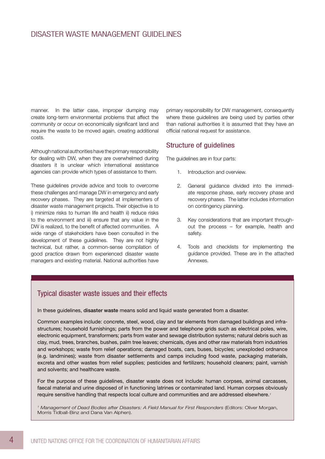### Disaster Waste Management Guidelines

manner. In the latter case, improper dumping may create long-term environmental problems that affect the community or occur on economically significant land and require the waste to be moved again, creating additional costs.

Although national authorities have the primary responsibility for dealing with DW, when they are overwhelmed during disasters it is unclear which international assistance agencies can provide which types of assistance to them.

These guidelines provide advice and tools to overcome these challenges and manage DW in emergency and early recovery phases. They are targeted at implementers of disaster waste management projects. Their objective is to i) minimize risks to human life and health ii) reduce risks to the environment and iii) ensure that any value in the DW is realized, to the benefit of affected communities. A wide range of stakeholders have been consulted in the development of these guidelines. They are not highly technical, but rather, a common-sense compilation of good practice drawn from experienced disaster waste managers and existing material. National authorities have primary responsibility for DW management, consequently where these quidelines are being used by parties other than national authorities it is assumed that they have an official national request for assistance.

#### Structure of guidelines

The guidelines are in four parts:

- 1. Introduction and overview.
- 2. General guidance divided into the immediate response phase, early recovery phase and recovery phases. The latter includes information on contingency planning.
- 3. Key considerations that are important throughout the process – for example, health and safety.
- 4. Tools and checklists for implementing the guidance provided. These are in the attached Annexes.

### Typical disaster waste issues and their effects

In these guidelines, disaster waste means solid and liquid waste generated from a disaster.

Common examples include: concrete, steel, wood, clay and tar elements from damaged buildings and infrastructures; household furnishings; parts from the power and telephone grids such as electrical poles, wire, electronic equipment, transformers; parts from water and sewage distribution systems; natural debris such as clay, mud, trees, branches, bushes, palm tree leaves; chemicals, dyes and other raw materials from industries and workshops; waste from relief operations; damaged boats, cars, buses, bicycles; unexploded ordnance (e.g. landmines); waste from disaster settlements and camps including food waste, packaging materials, excreta and other wastes from relief supplies; pesticides and fertilizers; household cleaners; paint, varnish and solvents; and healthcare waste.

For the purpose of these guidelines, disaster waste does not include: human corpses, animal carcasses, faecal material and urine disposed of in functioning latrines or contaminated land. Human corpses obviously require sensitive handling that respects local culture and communities and are addressed elsewhere. *1*

<sup>1</sup> Management of Dead Bodies after Disasters: A Field Manual for First Responders (Editors: Oliver Morgan, Morris Tidball-Binz and Dana Van Alphen).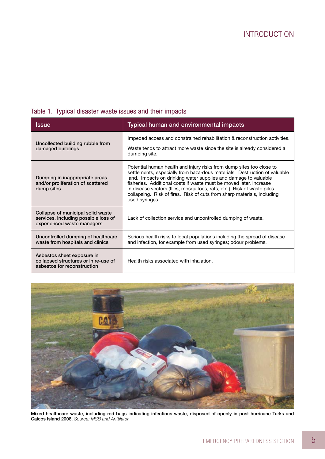# Table 1. Typical disaster waste issues and their impacts

| <b>Issue</b>                                                                                            | Typical human and environmental impacts                                                                                                                                                                                                                                                                                                                                                                                                                            |  |  |  |  |
|---------------------------------------------------------------------------------------------------------|--------------------------------------------------------------------------------------------------------------------------------------------------------------------------------------------------------------------------------------------------------------------------------------------------------------------------------------------------------------------------------------------------------------------------------------------------------------------|--|--|--|--|
| Uncollected building rubble from<br>damaged buildings                                                   | Impeded access and constrained rehabilitation & reconstruction activities.<br>Waste tends to attract more waste since the site is already considered a<br>dumping site.                                                                                                                                                                                                                                                                                            |  |  |  |  |
| Dumping in inappropriate areas<br>and/or proliferation of scattered<br>dump sites                       | Potential human health and injury risks from dump sites too close to<br>settlements, especially from hazardous materials. Destruction of valuable<br>land. Impacts on drinking water supplies and damage to valuable<br>fisheries. Additional costs if waste must be moved later. Increase<br>in disease vectors (flies, mosquitoes, rats, etc.). Risk of waste piles<br>collapsing. Risk of fires. Risk of cuts from sharp materials, including<br>used syringes. |  |  |  |  |
| Collapse of municipal solid waste<br>services, including possible loss of<br>experienced waste managers | Lack of collection service and uncontrolled dumping of waste.                                                                                                                                                                                                                                                                                                                                                                                                      |  |  |  |  |
| Uncontrolled dumping of healthcare<br>waste from hospitals and clinics                                  | Serious health risks to local populations including the spread of disease<br>and infection, for example from used syringes; odour problems.                                                                                                                                                                                                                                                                                                                        |  |  |  |  |
| Asbestos sheet exposure in<br>collapsed structures or in re-use of<br>asbestos for reconstruction       | Health risks associated with inhalation.                                                                                                                                                                                                                                                                                                                                                                                                                           |  |  |  |  |



Mixed healthcare waste, including red bags indicating infectious waste, disposed of openly in post-hurricane Turks and Caicos Island 2008. *Source: MSB and Anttilator*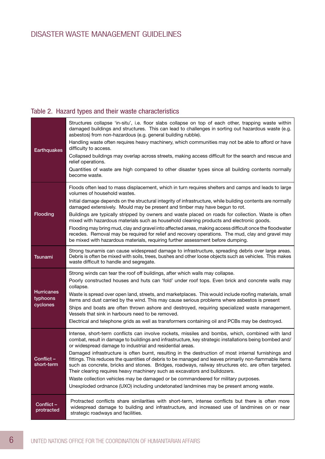# Table 2. Hazard types and their waste characteristics

| Earthquakes                                  | Structures collapse 'in-situ', i.e. floor slabs collapse on top of each other, trapping waste within<br>damaged buildings and structures. This can lead to challenges in sorting out hazardous waste (e.g.<br>asbestos) from non-hazardous (e.g. general building rubble).<br>Handling waste often requires heavy machinery, which communities may not be able to afford or have<br>difficulty to access.<br>Collapsed buildings may overlap across streets, making access difficult for the search and rescue and<br>relief operations.<br>Quantities of waste are high compared to other disaster types since all building contents normally<br>become waste.                                                                                                                                                                                                |
|----------------------------------------------|----------------------------------------------------------------------------------------------------------------------------------------------------------------------------------------------------------------------------------------------------------------------------------------------------------------------------------------------------------------------------------------------------------------------------------------------------------------------------------------------------------------------------------------------------------------------------------------------------------------------------------------------------------------------------------------------------------------------------------------------------------------------------------------------------------------------------------------------------------------|
| Flooding                                     | Floods often lead to mass displacement, which in turn requires shelters and camps and leads to large<br>volumes of household wastes.<br>Initial damage depends on the structural integrity of infrastructure, while building contents are normally<br>damaged extensively. Mould may be present and timber may have begun to rot.<br>Buildings are typically stripped by owners and waste placed on roads for collection. Waste is often<br>mixed with hazardous materials such as household cleaning products and electronic goods.<br>Flooding may bring mud, clay and gravel into affected areas, making access difficult once the floodwater<br>recedes. Removal may be required for relief and recovery operations. The mud, clay and gravel may<br>be mixed with hazardous materials, requiring further assessment before dumping.                       |
| <b>Tsunami</b>                               | Strong tsunamis can cause widespread damage to infrastructure, spreading debris over large areas.<br>Debris is often be mixed with soils, trees, bushes and other loose objects such as vehicles. This makes<br>waste difficult to handle and segregate.                                                                                                                                                                                                                                                                                                                                                                                                                                                                                                                                                                                                       |
|                                              | Strong winds can tear the roof off buildings, after which walls may collapse.                                                                                                                                                                                                                                                                                                                                                                                                                                                                                                                                                                                                                                                                                                                                                                                  |
| <b>Hurricanes</b><br>typhoons<br>cyclones    | Poorly constructed houses and huts can 'fold' under roof tops. Even brick and concrete walls may<br>collapse.<br>Waste is spread over open land, streets, and marketplaces. This would include roofing materials, small<br>items and dust carried by the wind. This may cause serious problems where asbestos is present<br>Ships and boats are often thrown ashore and destroyed, requiring specialized waste management.<br>Vessels that sink in harbours need to be removed.<br>Electrical and telephone grids as well as transformers containing oil and PCBs may be destroyed.                                                                                                                                                                                                                                                                            |
| $\overline{\text{Conflict}}$ –<br>snort-term | Intense, short-term conflicts can involve rockets, missiles and bombs, which, combined with land<br>combat, result in damage to buildings and infrastructure, key strategic installations being bombed and/<br>or widespread damage to industrial and residential areas.<br>Damaged infrastructure is often burnt, resulting in the destruction of most internal furnishings and<br>fittings. This reduces the quantities of debris to be managed and leaves primarily non-flammable items<br>such as concrete, bricks and stones. Bridges, roadways, railway structures etc. are often targeted.<br>Their clearing requires heavy machinery such as excavators and bulldozers.<br>Waste collection vehicles may be damaged or be commandeered for military purposes.<br>Unexploded ordnance (UXO) including undetonated landmines may be present among waste. |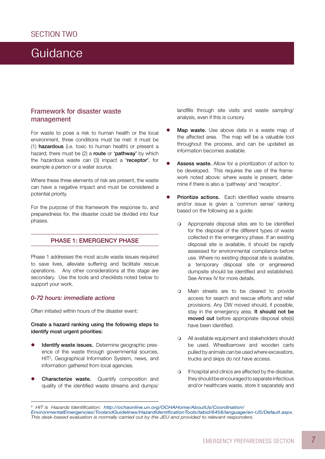# Guidance

#### Framework for disaster waste management

For waste to pose a risk to human health or the local environment, three conditions must be met: it must be (1) hazardous (i.e. toxic to human health) or present a hazard; there must be (2) a **route** or 'pathway' by which the hazardous waste can (3) impact a 'receptor', for example a person or a water source.

Where these three elements of risk are present, the waste can have a negative impact and must be considered a potential priority.

For the purpose of this framework the response to, and preparedness for, the disaster could be divided into four phases.

#### PHASE 1: EMERGENCY PHASE

Phase 1 addresses the most acute waste issues required to save lives, alleviate suffering and facilitate rescue operations. Any other considerations at this stage are secondary. Use the tools and checklists noted below to support your work.

#### *0-72 hours: immediate actions*

Often initiated within hours of the disaster event:

#### Create a hazard ranking using the following steps to identify most urgent priorities:

- Identify waste issues. Determine geographic presence of the waste through governmental sources, HIT<sup>2</sup>, Geographical Information System, news, and information gathered from local agencies.
- **Characterize waste.** Quantify composition and quality of the identified waste streams and dumps/

landfills through site visits and waste sampling/ analysis, even if this is cursory.

- Map waste. Use above data in a waste map of the affected area. The map will be a valuable tool throughout the process, and can be updated as information becomes available.
- Assess waste. Allow for a prioritization of action to be developed. This requires the use of the framework noted above: where waste is present, determine if there is also a 'pathway' and 'receptor'.
- Prioritize actions. Each identified waste streams and/or issue is given a 'common sense' ranking based on the following as a guide:
	- **o** Appropriate disposal sites are to be identified for the disposal of the different types of waste collected in the emergency phase. If an existing disposal site is available, it should be rapidly assessed for environmental compliance before use. Where no existing disposal site is available, a temporary disposal site or engineered dumpsite should be identified and established. See Annex IV for more details.
	- **Q** Main streets are to be cleared to provide access for search and rescue efforts and relief provisions. Any DW moved should, if possible, stay in the emergency area. It should not be moved out before appropriate disposal site(s) have been identified.
	- $\Omega$  All available equipment and stakeholders should be used. Wheelbarrows and wooden carts pulled by animals can be used where excavators, trucks and skips do not have access.
	- $\circ$  If hospital and clinics are affected by the disaster, they should be encouraged to separate infectious and/or healthcare waste, store it separately and

*<sup>2</sup> HIT is Hazards Identification: [http://ochaonline.un.org/OCHAHome/AboutUs/Coordination/](http://ochaonline.un.org/OCHAHome/AboutUs/Coordination/EnvironmentalEmergencies/ToolandGuidelines/HazardIdentificationTools/tabid/6458/language/en-US/Default.aspx) [EnvironmentalEmergencies/ToolandGuidelines/HazardIdentificationTools/tabid/6458/language/en-US/Default.aspx](http://ochaonline.un.org/OCHAHome/AboutUs/Coordination/EnvironmentalEmergencies/ToolandGuidelines/HazardIdentificationTools/tabid/6458/language/en-US/Default.aspx). This desk-based evaluation is normally carried out by the JEU and provided to relevant responders.*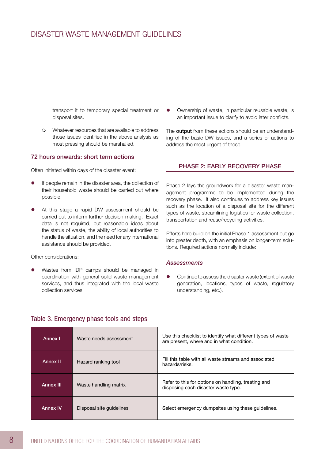### Disaster Waste Management Guidelines

transport it to temporary special treatment or disposal sites.

 $\Omega$  Whatever resources that are available to address those issues identified in the above analysis as most pressing should be marshalled.

#### 72 hours onwards: short term actions

Often initiated within days of the disaster event:

- If people remain in the disaster area, the collection of their household waste should be carried out where possible.
- At this stage a rapid DW assessment should be carried out to inform further decision-making. Exact data is not required, but reasonable ideas about the status of waste, the ability of local authorities to handle the situation, and the need for any international assistance should be provided.

Other considerations:

Wastes from IDP camps should be managed in coordination with general solid waste management services, and thus integrated with the local waste collection services.

**•** Ownership of waste, in particular reusable waste, is an important issue to clarify to avoid later conflicts.

The output from these actions should be an understanding of the basic DW issues, and a series of actions to address the most urgent of these.

#### Phase 2: Early Recovery phase

Phase 2 lays the groundwork for a disaster waste management programme to be implemented during the recovery phase. It also continues to address key issues such as the location of a disposal site for the different types of waste, streamlining logistics for waste collection, transportation and reuse/recycling activities.

Efforts here build on the initial Phase 1 assessment but go into greater depth, with an emphasis on longer-term solutions. Required actions normally include:

#### *Assessments*

**•** Continue to assess the disaster waste (extent of waste generation, locations, types of waste, regulatory understanding, etc.).

| Annex I         | Waste needs assessment   | Use this checklist to identify what different types of waste<br>are present, where and in what condition. |
|-----------------|--------------------------|-----------------------------------------------------------------------------------------------------------|
| Annex II        | Hazard ranking tool      | Fill this table with all waste streams and associated<br>hazards/risks.                                   |
| Annex III       | Waste handling matrix    | Refer to this for options on handling, treating and<br>disposing each disaster waste type.                |
| <b>Annex IV</b> | Disposal site quidelines | Select emergency dumpsites using these quidelines.                                                        |

#### Table 3. Emergency phase tools and steps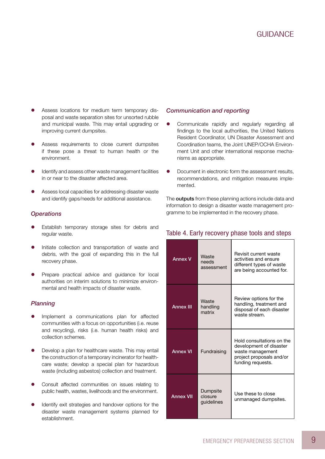- Assess locations for medium term temporary disposal and waste separation sites for unsorted rubble and municipal waste. This may entail upgrading or improving current dumpsites.
- Assess requirements to close current dumpsites if these pose a threat to human health or the environment.
- Identify and assess other waste management facilities in or near to the disaster affected area.
- Assess local capacities for addressing disaster waste and identify gaps/needs for additional assistance.

#### *Operations*

- Establish temporary storage sites for debris and regular waste.
- **•** Initiate collection and transportation of waste and debris, with the goal of expanding this in the full recovery phase.
- Prepare practical advice and guidance for local authorities on interim solutions to minimize environmental and health impacts of disaster waste.

#### *Planning*

- Implement a communications plan for affected communities with a focus on opportunities (i.e. reuse and recycling), risks (i.e. human health risks) and collection schemes.
- Develop a plan for healthcare waste. This may entail the construction of a temporary incinerator for healthcare waste; develop a special plan for hazardous waste (including asbestos) collection and treatment.
- Consult affected communities on issues relating to public health, wastes, livelihoods and the environment.
- Identify exit strategies and handover options for the disaster waste management systems planned for establishment.

#### *Communication and reporting*

- Communicate rapidly and regularly regarding all findings to the local authorities, the United Nations Resident Coordinator, UN Disaster Assessment and Coordination teams, the Joint UNEP/OCHA Environment Unit and other international response mechanisms as appropriate.
- $\bullet$  Document in electronic form the assessment results, recommendations, and mitigation measures implemented.

The **outputs** from these planning actions include data and information to design a disaster waste management programme to be implemented in the recovery phase.

| <b>Annex V</b>   | Waste<br>needs<br>assessment      | Revisit current waste<br>activities and ensure<br>different types of waste<br>are being accounted for.                    |  |  |
|------------------|-----------------------------------|---------------------------------------------------------------------------------------------------------------------------|--|--|
| <b>Annex III</b> | Waste<br>handling<br>matrix       | Review options for the<br>handling, treatment and<br>disposal of each disaster<br>waste stream.                           |  |  |
| <b>Annex VI</b>  | Fundraising                       | Hold consultations on the<br>development of disaster<br>waste management<br>project proposals and/or<br>funding requests. |  |  |
| <b>Annex VII</b> | Dumpsite<br>closure<br>guidelines | Use these to close<br>unmanaged dumpsites.                                                                                |  |  |

#### Table 4. Early recovery phase tools and steps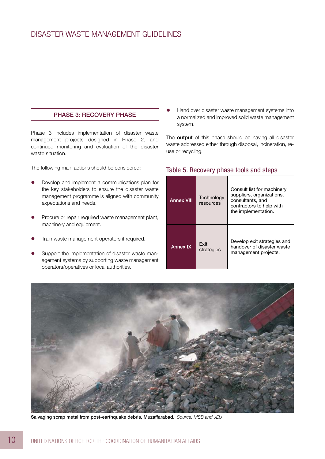#### PHASE 3: RECOVERY PHASE

Phase 3 includes implementation of disaster waste management projects designed in Phase 2, and continued monitoring and evaluation of the disaster waste situation.

The following main actions should be considered:

- Develop and implement a communications plan for the key stakeholders to ensure the disaster waste management programme is aligned with community expectations and needs.
- Procure or repair required waste management plant, machinery and equipment.
- Train waste management operators if required.
- Support the implementation of disaster waste management systems by supporting waste management operators/operatives or local authorities.

Hand over disaster waste management systems into a normalized and improved solid waste management system.

The **output** of this phase should be having all disaster waste addressed either through disposal, incineration, reuse or recycling.

# Table 5. Recovery phase tools and steps

| Technology<br><b>Annex VIII</b><br>resources |                    | Consult list for machinery<br>suppliers, organizations,<br>consultants, and<br>contractors to help with<br>the implementation. |  |  |  |
|----------------------------------------------|--------------------|--------------------------------------------------------------------------------------------------------------------------------|--|--|--|
| <b>Annex IX</b>                              | Fxit<br>strategies | Develop exit strategies and<br>handover of disaster waste<br>management projects.                                              |  |  |  |



Salvaging scrap metal from post-earthquake debris, Muzaffarabad. *Source: MSB and JEU*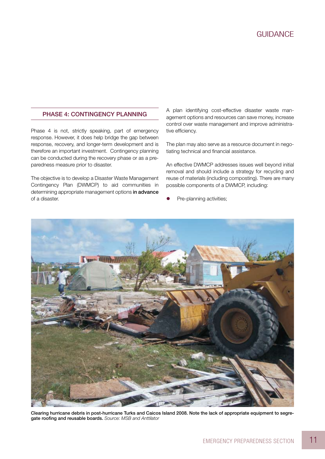#### PHASE 4: CONTINGENCY PLANNING

Phase 4 is not, strictly speaking, part of emergency response. However, it does help bridge the gap between response, recovery, and longer-term development and is therefore an important investment. Contingency planning can be conducted during the recovery phase or as a preparedness measure prior to disaster.

The objective is to develop a Disaster Waste Management Contingency Plan (DWMCP) to aid communities in determining appropriate management options in advance of a disaster.

A plan identifying cost-effective disaster waste management options and resources can save money, increase control over waste management and improve administrative efficiency.

The plan may also serve as a resource document in negotiating technical and financial assistance.

An effective DWMCP addresses issues well beyond initial removal and should include a strategy for recycling and reuse of materials (including composting). There are many possible components of a DWMCP, including:

Pre-planning activities;



Clearing hurricane debris in post-hurricane Turks and Caicos Island 2008. Note the lack of appropriate equipment to segregate roofing and reusable boards. *Source: MSB and Anttilator*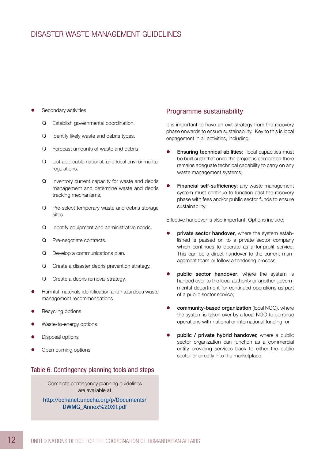### Disaster Waste Management Guidelines

- Secondary activities
	- **Q** Establish governmental coordination.
	- $\Omega$  Identify likely waste and debris types.
	- $\Omega$  Forecast amounts of waste and debris.
	- $\Omega$  List applicable national, and local environmental regulations.
	- $\Omega$  Inventory current capacity for waste and debris management and determine waste and debris tracking mechanisms.
	- $\Omega$  Pre-select temporary waste and debris storage sites.
	- $\Omega$  Identify equipment and administrative needs.
	- O Pre-negotiate contracts.
	- **O** Develop a communications plan.
	- $\Omega$  Create a disaster debris prevention strategy.
	- $\Omega$  Create a debris removal strategy.
- Harmful materials identification and hazardous waste management recommendations
- Recycling options
- Waste-to-energy options
- Disposal options
- Open burning options

#### Table 6. Contingency planning tools and steps

Complete contingency planning guidelines are available at

[http://ochanet.unocha.org/p/Documents/](http://ochanet.unocha.org/p/Documents/DWMG_Annex%20XII.pdf) [DWMG\\_Annex%20XII.pdf](http://ochanet.unocha.org/p/Documents/DWMG_Annex%20XII.pdf)

#### Programme sustainability

It is important to have an exit strategy from the recovery phase onwards to ensure sustainability. Key to this is local engagement in all activities, including:

- **Ensuring technical abilities: local capacities must** be built such that once the project is completed there remains adequate technical capability to carry on any waste management systems;
- Financial self-sufficiency: any waste management system must continue to function past the recovery phase with fees and/or public sector funds to ensure sustainability;

Effective handover is also important. Options include:

- private sector handover, where the system established is passed on to a private sector company which continues to operate as a for-profit service. This can be a direct handover to the current management team or follow a tendering process;
- public sector handover, where the system is handed over to the local authority or another governmental department for continued operations as part of a public sector service;
- community-based organization (local NGO), where the system is taken over by a local NGO to continue operations with national or international funding; or
- public / private hybrid handover, where a public sector organization can function as a commercial entity providing services back to either the public sector or directly into the marketplace.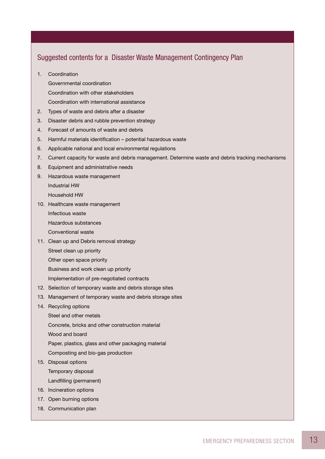### Suggested contents for a Disaster Waste Management Contingency Plan

1. Coordination

Governmental coordination

- Coordination with other stakeholders
- Coordination with international assistance
- 2. Types of waste and debris after a disaster
- 3. Disaster debris and rubble prevention strategy
- 4. Forecast of amounts of waste and debris
- 5. Harmful materials identification potential hazardous waste
- 6. Applicable national and local environmental regulations
- 7. Current capacity for waste and debris management. Determine waste and debris tracking mechanisms
- 8. Equipment and administrative needs
- 9. Hazardous waste management

Industrial HW

Household HW

10. Healthcare waste management

Infectious waste

Hazardous substances

Conventional waste

11. Clean up and Debris removal strategy

Street clean up priority

Other open space priority

Business and work clean up priority

Implementation of pre-negotiated contracts

- 12. Selection of temporary waste and debris storage sites
- 13. Management of temporary waste and debris storage sites
- 14. Recycling options

Steel and other metals

Concrete, bricks and other construction material

Wood and board

Paper, plastics, glass and other packaging material

Composting and bio-gas production

15. Disposal options

Temporary disposal

Landfilling (permanent)

- 16. Incineration options
- 17. Open burning options
- 18. Communication plan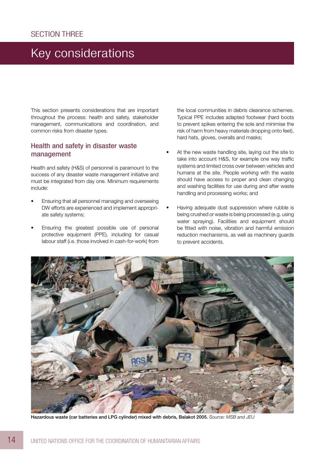# Key considerations

This section presents considerations that are important throughout the process: health and safety, stakeholder management, communications and coordination, and common risks from disaster types.

#### Health and safety in disaster waste management

Health and safety (H&S) of personnel is paramount to the success of any disaster waste management initiative and must be integrated from day one. Minimum requirements include:

- Ensuring that all personnel managing and overseeing DW efforts are experienced and implement appropriate safety systems;
- Ensuring the greatest possible use of personal protective equipment (PPE), including for casual labour staff (i.e. those involved in cash-for-work) from

the local communities in debris clearance schemes. Typical PPE includes adapted footwear (hard boots to prevent spikes entering the sole and minimise the risk of harm from heavy materials dropping onto feet), hard hats, gloves, overalls and masks;

- At the new waste handling site, laying out the site to take into account H&S, for example one way traffic systems and limited cross over between vehicles and humans at the site. People working with the waste should have access to proper and clean changing and washing facilities for use during and after waste handling and processing works; and
- Having adequate dust suppression where rubble is being crushed or waste is being processed (e.g. using water spraying). Facilities and equipment should be fitted with noise, vibration and harmful emission reduction mechanisms, as well as machinery guards to prevent accidents.



Hazardous waste (car batteries and LPG cylinder) mixed with debris, Balakot 2005. *Source: MSB and JEU*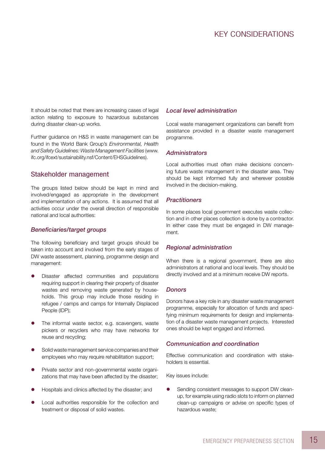It should be noted that there are increasing cases of legal action relating to exposure to hazardous substances during disaster clean-up works.

Further guidance on H&S in waste management can be found in the World Bank Group's *Environmental, Health and Safety Guidelines: Waste Management Facilities* (www. ifc.org/ifcext/sustainability.nsf/Content/EHSGuidelines).

#### Stakeholder management

The groups listed below should be kept in mind and involved/engaged as appropriate in the development and implementation of any actions. It is assumed that all activities occur under the overall direction of responsible national and local authorities:

#### *Beneficiaries/target groups*

The following beneficiary and target groups should be taken into account and involved from the early stages of DW waste assessment, planning, programme design and management:

- Disaster affected communities and populations requiring support in clearing their property of disaster wastes and removing waste generated by households. This group may include those residing in refugee / camps and camps for Internally Displaced People (IDP);
- The informal waste sector, e.g. scavengers, waste pickers or recyclers who may have networks for reuse and recycling;
- Solid waste management service companies and their employees who may require rehabilitation support;
- Private sector and non-governmental waste organizations that may have been affected by the disaster;
- Hospitals and clinics affected by the disaster; and
- Local authorities responsible for the collection and treatment or disposal of solid wastes.

#### *Local level administration*

Local waste management organizations can benefit from assistance provided in a disaster waste management programme.

#### *Administrators*

Local authorities must often make decisions concerning future waste management in the disaster area. They should be kept informed fully and wherever possible involved in the decision-making.

#### *Practitioners*

In some places local government executes waste collection and in other places collection is done by a contractor. In either case they must be engaged in DW management.

#### *Regional administration*

When there is a regional government, there are also administrators at national and local levels. They should be directly involved and at a minimum receive DW reports.

#### *Donors*

Donors have a key role in any disaster waste management programme, especially for allocation of funds and specifying minimum requirements for design and implementation of a disaster waste management projects. Interested ones should be kept engaged and informed.

#### *Communication and coordination*

Effective communication and coordination with stakeholders is essential.

Key issues include:

**•** Sending consistent messages to support DW cleanup, for example using radio slots to inform on planned clean-up campaigns or advise on specific types of hazardous waste;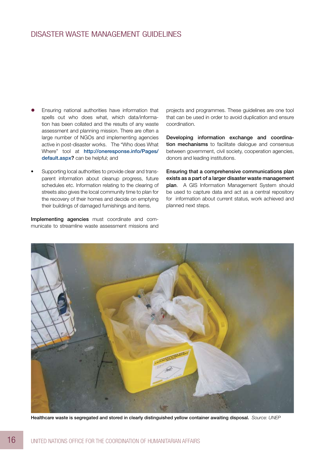### Disaster Waste Management Guidelines

- Ensuring national authorities have information that spells out who does what, which data/information has been collated and the results of any waste assessment and planning mission. There are often a large number of NGOs and implementing agencies active in post-disaster works. The "Who does What Where" tool at [http://oneresponse.info/Pages/](http://oneresponse.info/Pages/default.aspx) [default.aspx?](http://oneresponse.info/Pages/default.aspx) can be helpful; and
- Supporting local authorities to provide clear and transparent information about cleanup progress, future schedules etc. Information relating to the clearing of streets also gives the local community time to plan for the recovery of their homes and decide on emptying their buildings of damaged furnishings and items.

Implementing agencies must coordinate and communicate to streamline waste assessment missions and projects and programmes. These guidelines are one tool that can be used in order to avoid duplication and ensure coordination.

Developing information exchange and coordination mechanisms to facilitate dialogue and consensus between government, civil society, cooperation agencies, donors and leading institutions.

Ensuring that a comprehensive communications plan exists as a part of a larger disaster waste management plan. A GIS Information Management System should be used to capture data and act as a central repository for information about current status, work achieved and planned next steps.



Healthcare waste is segregated and stored in clearly distinguished yellow container awaiting disposal. *Source: UNEP*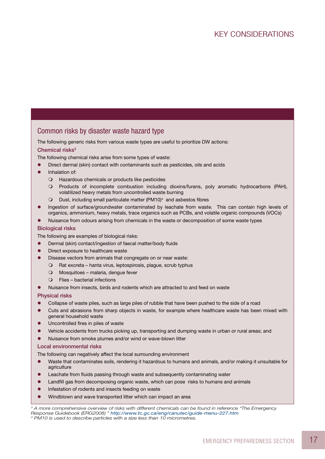### Common risks by disaster waste hazard type

The following generic risks from various waste types are useful to prioritize DW actions:

#### Chemical risks $3$

The following chemical risks arise from some types of waste:

- Direct dermal (skin) contact with contaminants such as pesticides, oils and acids
- Inhalation of:
	- **O** Hazardous chemicals or products like pesticides
	- O Products of incomplete combustion including dioxins/furans, poly aromatic hydrocarbons (PAH), volatilized heavy metals from uncontrolled waste burning
	- $\Omega$  Dust, including small particulate matter (PM10)<sup>4</sup> and asbestos fibres
- Ingestion of surface/groundwater contaminated by leachate from waste. This can contain high levels of organics, ammonium, heavy metals, trace organics such as PCBs, and volatile organic compounds (VOCs)
- Nuisance from odours arising from chemicals in the waste or decomposition of some waste types

#### Biological risks

The following are examples of biological risks:

- Dermal (skin) contact/ingestion of faecal matter/body fluids
- Direct exposure to healthcare waste
- Disease vectors from animals that congregate on or near waste:
	- O Rat excreta hanta virus, leptospirosis, plague, scrub typhus
		- $\bigcirc$  Mosquitoes malaria, dengue fever
		- $\bigcirc$  Flies bacterial infections
- Nuisance from insects, birds and rodents which are attracted to and feed on waste

#### Physical risks

- Collapse of waste piles, such as large piles of rubble that have been pushed to the side of a road
- Cuts and abrasions from sharp objects in waste, for example where healthcare waste has been mixed with general household waste
- Uncontrolled fires in piles of waste
- Vehicle accidents from trucks picking up, transporting and dumping waste in urban or rural areas; and
- Nuisance from smoke plumes and/or wind or wave-blown litter

#### Local environmental risks

The following can negatively affect the local surrounding environment

- Waste that contaminates soils, rendering it hazardous to humans and animals, and/or making it unsuitable for agriculture
- Leachate from fluids passing through waste and subsequently contaminating water
- Landfill gas from decomposing organic waste, which can pose risks to humans and animals
- Infestation of rodents and insects feeding on waste
- Windblown and wave transported litter which can impact an area

*<sup>3</sup> A more comprehensive overview of risks with different chemicals can be found in reference "The Emergency Response Guidebook (ERG2008) " <http://www.tc.gc.ca/eng/canutec/guide-menu-227.htm>*

*<sup>4</sup> PM10 is used to describe particles with a size less than 10 micrometres.*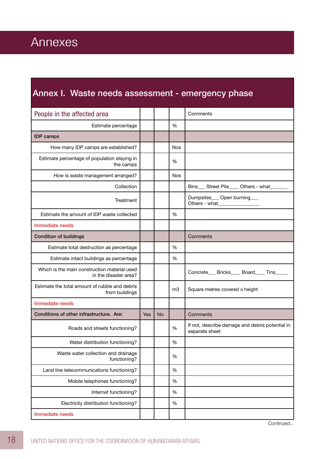# Annex I. Waste needs assessment - emergency phase

| People in the affected area                                           |     |           |               | Comments                                                          |
|-----------------------------------------------------------------------|-----|-----------|---------------|-------------------------------------------------------------------|
| Estimate percentage                                                   |     |           | %             |                                                                   |
| <b>IDP</b> camps                                                      |     |           |               |                                                                   |
| How many IDP camps are established?                                   |     |           | Nos           |                                                                   |
| Estimate percentage of population staying in<br>the camps             |     |           | %             |                                                                   |
| How is waste management arranged?                                     |     |           | <b>Nos</b>    |                                                                   |
| Collection                                                            |     |           |               | Bins___ Street Pile____ Others - what_                            |
| Treatment                                                             |     |           |               | Dumpsites___ Open burning___<br>Others - what                     |
| Estimate the amount of IDP waste collected                            |     |           | %             |                                                                   |
| Immediate needs                                                       |     |           |               |                                                                   |
| <b>Condition of buildings</b>                                         |     |           |               | Comments                                                          |
| Estimate total destruction as percentage                              |     |           | %             |                                                                   |
| Estimate intact buildings as percentage                               |     |           | $\frac{0}{0}$ |                                                                   |
| Which is the main construction material used<br>in the disaster area? |     |           |               | Concrete___ Bricks____ Board____ Tins_____                        |
| Estimate the total amount of rubble and debris<br>from buildings      |     |           | m3            | Square metres covered x height                                    |
| Immediate needs                                                       |     |           |               |                                                                   |
| Conditions of other infrastructure. Are:                              | Yes | <b>No</b> |               | Comments                                                          |
| Roads and streets functioning?                                        |     |           | %             | If not, describe damage and debris potential in<br>separate sheet |
| Water distribution functioning?                                       |     |           | $\%$          |                                                                   |
| Waste water collection and drainage<br>functioning?                   |     |           | %             |                                                                   |
| Land line telecommunications functioning?                             |     |           | %             |                                                                   |
| Mobile telephones functioning?                                        |     |           | %             |                                                                   |
| Internet functioning?                                                 |     |           | %             |                                                                   |
| Electricity distribution functioning?                                 |     |           | %             |                                                                   |
| Immediate needs                                                       |     |           |               |                                                                   |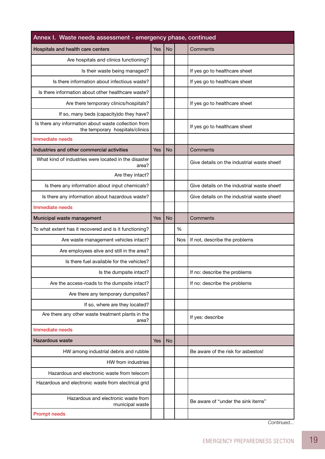| Annex I. Waste needs assessment - emergency phase, continued                            |            |           |     |                                             |  |  |
|-----------------------------------------------------------------------------------------|------------|-----------|-----|---------------------------------------------|--|--|
| Hospitals and health care centers                                                       | Yes        | <b>No</b> |     | Comments                                    |  |  |
| Are hospitals and clinics functioning?                                                  |            |           |     |                                             |  |  |
| Is their waste being managed?                                                           |            |           |     | If yes go to healthcare sheet               |  |  |
| Is there information about infectious waste?                                            |            |           |     | If yes go to healthcare sheet               |  |  |
| Is there information about other healthcare waste?                                      |            |           |     |                                             |  |  |
| Are there temporary clinics/hospitals?                                                  |            |           |     | If yes go to healthcare sheet               |  |  |
| If so, many beds (capacity) do they have?                                               |            |           |     |                                             |  |  |
| Is there any information about waste collection from<br>the temporary hospitals/clinics |            |           |     | If yes go to healthcare sheet               |  |  |
| Immediate needs                                                                         |            |           |     |                                             |  |  |
| Industries and other commercial activities                                              | Yes        | <b>No</b> |     | Comments                                    |  |  |
| What kind of industries were located in the disaster<br>area?                           |            |           |     | Give details on the industrial waste sheet! |  |  |
| Are they intact?                                                                        |            |           |     |                                             |  |  |
| Is there any information about input chemicals?                                         |            |           |     | Give details on the industrial waste sheet! |  |  |
| Is there any information about hazardous waste?                                         |            |           |     | Give details on the industrial waste sheet! |  |  |
| Immediate needs                                                                         |            |           |     |                                             |  |  |
| Municipal waste management                                                              | Yes        | <b>No</b> |     | Comments                                    |  |  |
| To what extent has it recovered and is it functioning?                                  |            |           | %   |                                             |  |  |
| Are waste management vehicles intact?                                                   |            |           | Nos | If not, describe the problems               |  |  |
| Are employees alive and still in the area?                                              |            |           |     |                                             |  |  |
| Is there fuel available for the vehicles?                                               |            |           |     |                                             |  |  |
| Is the dumpsite intact?                                                                 |            |           |     | If no: describe the problems                |  |  |
| Are the access-roads to the dumpsite intact?                                            |            |           |     | If no: describe the problems                |  |  |
| Are there any temporary dumpsites?                                                      |            |           |     |                                             |  |  |
| If so, where are they located?                                                          |            |           |     |                                             |  |  |
| Are there any other waste treatment plants in the<br>area?                              |            |           |     | If yes: describe                            |  |  |
| Immediate needs                                                                         |            |           |     |                                             |  |  |
| Hazardous waste                                                                         | <b>Yes</b> | <b>No</b> |     |                                             |  |  |
| HW among industrial debris and rubble                                                   |            |           |     | Be aware of the risk for asbestos!          |  |  |
| HW from industries                                                                      |            |           |     |                                             |  |  |
| Hazardous and electronic waste from telecom                                             |            |           |     |                                             |  |  |
| Hazardous and electronic waste from electrical grid                                     |            |           |     |                                             |  |  |
| Hazardous and electronic waste from<br>municipal waste                                  |            |           |     | Be aware of "under the sink items"          |  |  |
| <b>Prompt needs</b>                                                                     |            |           |     |                                             |  |  |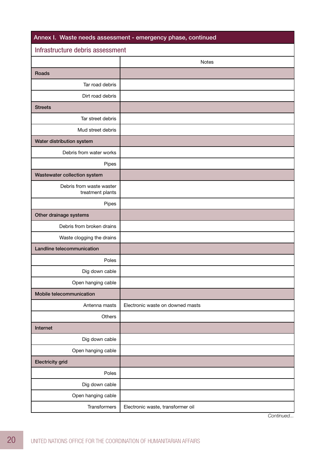| Annex I. Waste needs assessment - emergency phase, continued |                                   |  |  |  |  |
|--------------------------------------------------------------|-----------------------------------|--|--|--|--|
| Infrastructure debris assessment                             |                                   |  |  |  |  |
|                                                              | Notes                             |  |  |  |  |
| Roads                                                        |                                   |  |  |  |  |
| Tar road debris                                              |                                   |  |  |  |  |
| Dirt road debris                                             |                                   |  |  |  |  |
| <b>Streets</b>                                               |                                   |  |  |  |  |
| Tar street debris                                            |                                   |  |  |  |  |
| Mud street debris                                            |                                   |  |  |  |  |
| Water distribution system                                    |                                   |  |  |  |  |
| Debris from water works                                      |                                   |  |  |  |  |
| Pipes                                                        |                                   |  |  |  |  |
| Wastewater collection system                                 |                                   |  |  |  |  |
| Debris from waste waster<br>treatment plants                 |                                   |  |  |  |  |
| Pipes                                                        |                                   |  |  |  |  |
| Other drainage systems                                       |                                   |  |  |  |  |
| Debris from broken drains                                    |                                   |  |  |  |  |
| Waste clogging the drains                                    |                                   |  |  |  |  |
| Landline telecommunication                                   |                                   |  |  |  |  |
| Poles                                                        |                                   |  |  |  |  |
| Dig down cable                                               |                                   |  |  |  |  |
| Open hanging cable                                           |                                   |  |  |  |  |
| Mobile telecommunication                                     |                                   |  |  |  |  |
| Antenna masts                                                | Electronic waste on downed masts  |  |  |  |  |
| Others                                                       |                                   |  |  |  |  |
| Internet                                                     |                                   |  |  |  |  |
| Dig down cable                                               |                                   |  |  |  |  |
| Open hanging cable                                           |                                   |  |  |  |  |
| <b>Electricity grid</b>                                      |                                   |  |  |  |  |
| Poles                                                        |                                   |  |  |  |  |
| Dig down cable                                               |                                   |  |  |  |  |
| Open hanging cable                                           |                                   |  |  |  |  |
| Transformers                                                 | Electronic waste, transformer oil |  |  |  |  |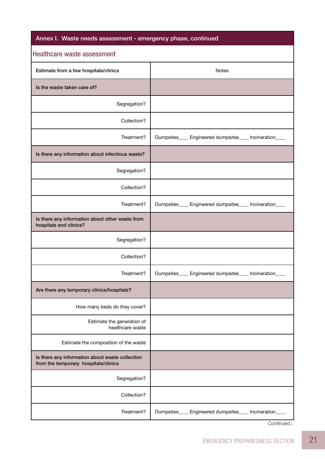# Annex I. Waste needs assessment - emergency phase, continued

| Healthcare waste assessment                                                             |                                                         |  |  |  |  |
|-----------------------------------------------------------------------------------------|---------------------------------------------------------|--|--|--|--|
| Estimate from a few hospitals/clinics                                                   | Notes                                                   |  |  |  |  |
| Is the waste taken care of?                                                             |                                                         |  |  |  |  |
| Segregation?                                                                            |                                                         |  |  |  |  |
| Collection?                                                                             |                                                         |  |  |  |  |
| Treatment?                                                                              | Dumpsites____ Engineered dumpsites____<br>Incineration  |  |  |  |  |
| Is there any information about infectious waste?                                        |                                                         |  |  |  |  |
| Segregation?                                                                            |                                                         |  |  |  |  |
| Collection?                                                                             |                                                         |  |  |  |  |
| Treatment?                                                                              | Dumpsites____ Engineered dumpsites____ Incineration____ |  |  |  |  |
| Is there any information about other waste from<br>hospitals and clinics?               |                                                         |  |  |  |  |
| Segregation?                                                                            |                                                         |  |  |  |  |
| Collection?                                                                             |                                                         |  |  |  |  |
| Treatment?                                                                              | Dumpsites____ Engineered dumpsites____ Incineration____ |  |  |  |  |
| Are there any temporary clinics/hospitals?                                              |                                                         |  |  |  |  |
| How many beds do they cover?                                                            |                                                         |  |  |  |  |
| Estimate the generation of<br>healthcare waste                                          |                                                         |  |  |  |  |
| Estimate the composition of the waste                                                   |                                                         |  |  |  |  |
| Is there any information about waste collection<br>from the temporary hospitals/clinics |                                                         |  |  |  |  |
| Segregation?                                                                            |                                                         |  |  |  |  |
| Collection?                                                                             |                                                         |  |  |  |  |
| Treatment?                                                                              | Dumpsites_<br>Engineered dumpsites___<br>Incineration_  |  |  |  |  |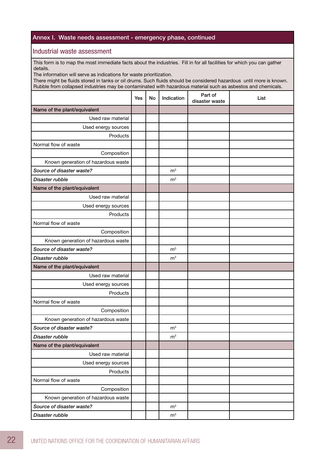#### Annex I. Waste needs assessment - emergency phase, continued

#### Industrial waste assessment

This form is to map the most immediate facts about the industries. Fill in for all facilities for which you can gather details.

The information will serve as indications for waste prioritization.

There might be fluids stored in tanks or oil drums. Such fluids should be considered hazardous until more is known. Rubble from collapsed industries may be contaminated with hazardous material such as asbestos and chemicals.

|                                     | <b>Yes</b> | No | Indication     | Part of<br>disaster waste | List |
|-------------------------------------|------------|----|----------------|---------------------------|------|
| Name of the plant/equivalent        |            |    |                |                           |      |
| Used raw material                   |            |    |                |                           |      |
| Used energy sources                 |            |    |                |                           |      |
| Products                            |            |    |                |                           |      |
| Normal flow of waste                |            |    |                |                           |      |
| Composition                         |            |    |                |                           |      |
| Known generation of hazardous waste |            |    |                |                           |      |
| Source of disaster waste?           |            |    | m <sup>3</sup> |                           |      |
| Disaster rubble                     |            |    | m <sup>3</sup> |                           |      |
| Name of the plant/equivalent        |            |    |                |                           |      |
| Used raw material                   |            |    |                |                           |      |
| Used energy sources                 |            |    |                |                           |      |
| Products                            |            |    |                |                           |      |
| Normal flow of waste                |            |    |                |                           |      |
| Composition                         |            |    |                |                           |      |
| Known generation of hazardous waste |            |    |                |                           |      |
| Source of disaster waste?           |            |    | m <sup>3</sup> |                           |      |
| Disaster rubble                     |            |    | m <sup>3</sup> |                           |      |
| Name of the plant/equivalent        |            |    |                |                           |      |
| Used raw material                   |            |    |                |                           |      |
| Used energy sources                 |            |    |                |                           |      |
| Products                            |            |    |                |                           |      |
| Normal flow of waste                |            |    |                |                           |      |
| Composition                         |            |    |                |                           |      |
| Known generation of hazardous waste |            |    |                |                           |      |
| Source of disaster waste?           |            |    | m <sup>3</sup> |                           |      |
| Disaster rubble                     |            |    | ${\rm m}^3$    |                           |      |
| Name of the plant/equivalent        |            |    |                |                           |      |
| Used raw material                   |            |    |                |                           |      |
| Used energy sources                 |            |    |                |                           |      |
| Products                            |            |    |                |                           |      |
| Normal flow of waste                |            |    |                |                           |      |
| Composition                         |            |    |                |                           |      |
| Known generation of hazardous waste |            |    |                |                           |      |
| Source of disaster waste?           |            |    | m <sup>3</sup> |                           |      |
| Disaster rubble                     |            |    | m <sup>3</sup> |                           |      |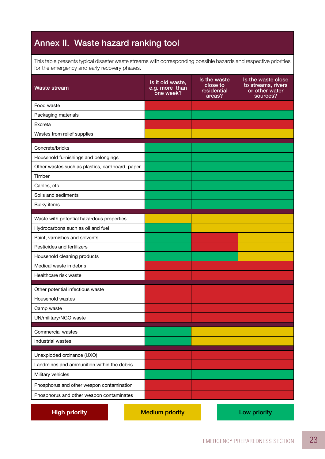# Annex II. Waste hazard ranking tool

This table presents typical disaster waste streams with corresponding possible hazards and respective priorities for the emergency and early recovery phases.

| <b>Waste stream</b>                             | Is it old waste,<br>e.g. more than<br>one week? | Is the waste<br>close to<br>residential<br>areas? | Is the waste close<br>to streams, rivers<br>or other water<br>sources? |
|-------------------------------------------------|-------------------------------------------------|---------------------------------------------------|------------------------------------------------------------------------|
| Food waste                                      |                                                 |                                                   |                                                                        |
| Packaging materials                             |                                                 |                                                   |                                                                        |
| Excreta                                         |                                                 |                                                   |                                                                        |
| Wastes from relief supplies                     |                                                 |                                                   |                                                                        |
| Concrete/bricks                                 |                                                 |                                                   |                                                                        |
| Household furnishings and belongings            |                                                 |                                                   |                                                                        |
| Other wastes such as plastics, cardboard, paper |                                                 |                                                   |                                                                        |
| Timber                                          |                                                 |                                                   |                                                                        |
| Cables, etc.                                    |                                                 |                                                   |                                                                        |
| Soils and sediments                             |                                                 |                                                   |                                                                        |
| <b>Bulky items</b>                              |                                                 |                                                   |                                                                        |
| Waste with potential hazardous properties       |                                                 |                                                   |                                                                        |
| Hydrocarbons such as oil and fuel               |                                                 |                                                   |                                                                        |
| Paint, varnishes and solvents                   |                                                 |                                                   |                                                                        |
| Pesticides and fertilizers                      |                                                 |                                                   |                                                                        |
| Household cleaning products                     |                                                 |                                                   |                                                                        |
| Medical waste in debris                         |                                                 |                                                   |                                                                        |
| Healthcare risk waste                           |                                                 |                                                   |                                                                        |
|                                                 |                                                 |                                                   |                                                                        |
| Other potential infectious waste                |                                                 |                                                   |                                                                        |
| Household wastes                                |                                                 |                                                   |                                                                        |
| Camp waste<br>UN/military/NGO waste             |                                                 |                                                   |                                                                        |
|                                                 |                                                 |                                                   |                                                                        |
| Commercial wastes                               |                                                 |                                                   |                                                                        |
| Industrial wastes                               |                                                 |                                                   |                                                                        |
| Unexploded ordnance (UXO)                       |                                                 |                                                   |                                                                        |
| Landmines and ammunition within the debris      |                                                 |                                                   |                                                                        |
| Military vehicles                               |                                                 |                                                   |                                                                        |
| Phosphorus and other weapon contamination       |                                                 |                                                   |                                                                        |
| Phosphorus and other weapon contaminates        |                                                 |                                                   |                                                                        |
|                                                 |                                                 |                                                   |                                                                        |
| <b>High priority</b>                            | <b>Medium priority</b>                          |                                                   | Low priority                                                           |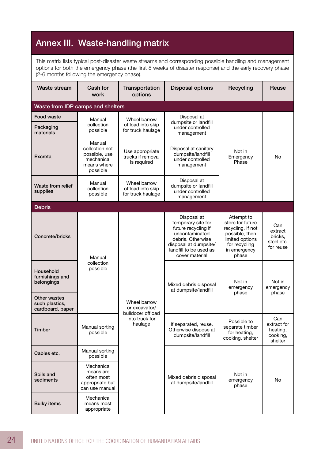# Annex III. Waste-handling matrix

This matrix lists typical post-disaster waste streams and corresponding possible handling and management options for both the emergency phase (the first 8 weeks of disaster response) and the early recovery phase (2-6 months following the emergency phase).

| <b>Waste stream</b>                                                                              | Cash for<br>work                                                                   | Transportation<br>options                              | <b>Disposal options</b>                                                                                                                                              | Recycling                                                                                                                          | <b>Reuse</b>                                          |                              |
|--------------------------------------------------------------------------------------------------|------------------------------------------------------------------------------------|--------------------------------------------------------|----------------------------------------------------------------------------------------------------------------------------------------------------------------------|------------------------------------------------------------------------------------------------------------------------------------|-------------------------------------------------------|------------------------------|
| Waste from IDP camps and shelters                                                                |                                                                                    |                                                        |                                                                                                                                                                      |                                                                                                                                    |                                                       |                              |
| Food waste<br>Packaging<br>materials                                                             | Manual<br>collection<br>possible                                                   | Wheel barrow<br>offload into skip<br>for truck haulage | Disposal at<br>dumpsite or landfill<br>under controlled<br>management                                                                                                |                                                                                                                                    |                                                       |                              |
| Excreta                                                                                          | Manual<br>collection not<br>possible, use<br>mechanical<br>means where<br>possible | Use appropriate<br>trucks if removal<br>is required    | Disposal at sanitary<br>dumpsite/landfill<br>under controlled<br>management                                                                                          | Not in<br>Emergency<br>Phase                                                                                                       | No                                                    |                              |
| Waste from relief<br>supplies                                                                    | Manual<br>collection<br>possible                                                   | Wheel barrow<br>offload into skip<br>for truck haulage | Disposal at<br>dumpsite or landfill<br>under controlled<br>management                                                                                                |                                                                                                                                    |                                                       |                              |
| <b>Debris</b>                                                                                    |                                                                                    |                                                        |                                                                                                                                                                      |                                                                                                                                    |                                                       |                              |
| Concrete/bricks                                                                                  | Manual                                                                             |                                                        | Disposal at<br>temporary site for<br>future recycling if<br>uncontaminated<br>debris. Otherwise<br>disposal at dumpsite/<br>landfill to be used as<br>cover material | Attempt to<br>store for future<br>recycling. If not<br>possible, then<br>limited options<br>for recycling<br>in emergency<br>phase | Can<br>extract<br>bricks,<br>steel etc.<br>for reuse  |                              |
| Household<br>furnishings and<br>belongings<br>Other wastes<br>such plastics,<br>cardboard, paper | collection<br>possible                                                             | Wheel barrow<br>or excavator/                          |                                                                                                                                                                      | Mixed debris disposal<br>at dumpsite/landfill                                                                                      | Not in<br>emergency<br>phase                          | Not in<br>emergency<br>phase |
| Timber                                                                                           | Manual sorting<br>possible                                                         | bulldozer offload<br>into truck for<br>haulage         | If separated, reuse.<br>Otherwise dispose at<br>dumpsite/landfill                                                                                                    | Possible to<br>separate timber<br>for heating,<br>cooking, shelter                                                                 | Can<br>extract for<br>heating,<br>cooking,<br>shelter |                              |
| Cables etc.                                                                                      | Manual sorting<br>possible                                                         |                                                        |                                                                                                                                                                      |                                                                                                                                    |                                                       |                              |
| Soils and<br>sediments                                                                           | Mechanical<br>means are<br>often most<br>appropriate but<br>can use manual         |                                                        |                                                                                                                                                                      | Mixed debris disposal<br>at dumpsite/landfill                                                                                      | Not in<br>emergency<br>phase                          | No                           |
| <b>Bulky items</b>                                                                               | Mechanical<br>means most<br>appropriate                                            |                                                        |                                                                                                                                                                      |                                                                                                                                    |                                                       |                              |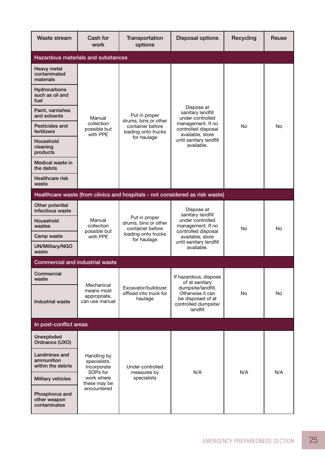| Waste stream                                     | Cash for<br>work                             | Transportation<br>options                                                                       | <b>Disposal options</b>                                                                                                                        | Recycling | Reuse |
|--------------------------------------------------|----------------------------------------------|-------------------------------------------------------------------------------------------------|------------------------------------------------------------------------------------------------------------------------------------------------|-----------|-------|
| <b>Hazardous materials and substances</b>        |                                              |                                                                                                 |                                                                                                                                                |           |       |
| <b>Heavy metal</b><br>contaminated<br>materials  |                                              |                                                                                                 |                                                                                                                                                |           |       |
| Hydrocarbons<br>such as oil and<br>fuel          |                                              | Put in proper                                                                                   | Dispose at<br>sanitary landfill<br>under controlled<br>management. If no<br>controlled disposal<br>available, store                            |           | No    |
| Paint, varnishes<br>and solvents                 | Manual                                       |                                                                                                 |                                                                                                                                                |           |       |
| Pesticides and<br>fertilizers                    | collection<br>possible but<br>with PPE       | drums, bins or other<br>container before<br>loading onto trucks                                 |                                                                                                                                                | <b>No</b> |       |
| Household<br>cleaning<br>products                |                                              | for haulage                                                                                     | until sanitary landfill<br>available.                                                                                                          |           |       |
| Medical waste in<br>the debris                   |                                              |                                                                                                 |                                                                                                                                                |           |       |
| <b>Healthcare risk</b><br>waste                  |                                              |                                                                                                 |                                                                                                                                                |           |       |
|                                                  |                                              |                                                                                                 | Healthcare waste (from clinics and hospitals - not considered as risk waste)                                                                   |           |       |
| Other potential<br>infectious waste              |                                              |                                                                                                 | Dispose at<br>sanitary landfill<br>under controlled<br>management. If no<br>controlled disposal<br>available, store<br>until sanitary landfill | No        | No    |
| Household<br>wastes                              | Manual<br>collection<br>possible but         | Put in proper<br>drums, bins or other<br>container before<br>loading onto trucks<br>for haulage |                                                                                                                                                |           |       |
| Camp waste                                       | with PPE                                     |                                                                                                 |                                                                                                                                                |           |       |
| UN/Military/NGO<br>waste                         |                                              |                                                                                                 | available.                                                                                                                                     |           |       |
| <b>Commercial and industrial waste</b>           |                                              |                                                                                                 |                                                                                                                                                |           |       |
| Commercial<br>waste                              | Mechanical                                   |                                                                                                 | If hazardous, dispose<br>of at sanitary                                                                                                        | <b>No</b> | No    |
| <b>Industrial waste</b>                          | means most<br>appropriate,<br>can use manual | Excavator/bulldozer<br>offload into truck for<br>haulage                                        | dumpsite/landfill.<br>Otherwise it can<br>be disposed of at<br>controlled dumpsite/<br>landfill                                                |           |       |
| In post-conflict areas                           |                                              |                                                                                                 |                                                                                                                                                |           |       |
| <b>Unexploded</b><br>Ordnance (UXO)              |                                              |                                                                                                 |                                                                                                                                                |           |       |
| Landmines and<br>ammunition<br>within the debris | Handling by<br>specialists.<br>Incorporate   |                                                                                                 |                                                                                                                                                |           |       |
| <b>Military vehicles</b>                         | SOPs for<br>work where<br>these may be       | measures by<br>specialists                                                                      | N/A                                                                                                                                            | N/A       | N/A   |
| Phosphorus and<br>other weapon<br>contaminates   | encountered                                  |                                                                                                 |                                                                                                                                                |           |       |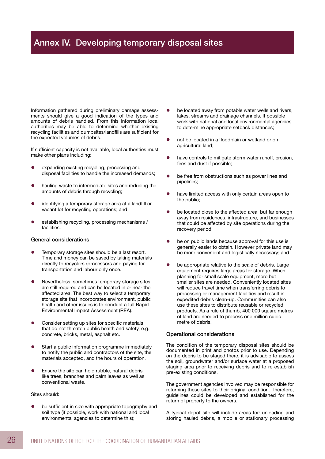# Annex IV. Developing temporary disposal sites

Information gathered during preliminary damage assessments should give a good indication of the types and amounts of debris handled. From this information local authorities may be able to determine whether existing recycling facilities and dumpsites/landfills are sufficient for the expected volumes of debris.

If sufficient capacity is not available, local authorities must make other plans including:

- expanding existing recycling, processing and disposal facilities to handle the increased demands;
- hauling waste to intermediate sites and reducing the amounts of debris through recycling;
- identifying a temporary storage area at a landfill or vacant lot for recycling operations; and
- establishing recycling, processing mechanisms / facilities.

#### General considerations

- Temporary storage sites should be a last resort. Time and money can be saved by taking materials directly to recyclers /processors and paying for transportation and labour only once.
- Nevertheless, sometimes temporary storage sites are still required and can be located in or near the affected area. The best way to select a temporary storage site that incorporates environment, public health and other issues is to conduct a full Rapid Environmental Impact Assessment (REA).
- Consider setting up sites for specific materials that do not threaten public health and safety, e.g. concrete, bricks, metal, asphalt etc.
- Start a public information programme immediately to notify the public and contractors of the site, the materials accepted, and the hours of operation.
- Ensure the site can hold rubble, natural debris like trees, branches and palm leaves as well as conventional waste.

#### Sites should:

be sufficient in size with appropriate topography and soil type (if possible, work with national and local environmental agencies to determine this);

- be located away from potable water wells and rivers, lakes, streams and drainage channels. If possible work with national and local environmental agencies to determine appropriate setback distances;
- not be located in a floodplain or wetland or on agricultural land;
- have controls to mitigate storm water runoff, erosion, fires and dust if possible;
- be free from obstructions such as power lines and pipelines;
- have limited access with only certain areas open to the public;
- be located close to the affected area, but far enough away from residences, infrastructure, and businesses that could be affected by site operations during the recovery period;
- be on public lands because approval for this use is generally easier to obtain. However private land may be more convenient and logistically necessary; and
- be appropriate relative to the scale of debris. Large equipment requires large areas for storage. When planning for small scale equipment, more but smaller sites are needed. Conveniently located sites will reduce travel time when transferring debris to processing or management facilities and result in expedited debris clean-up. Communities can also use these sites to distribute reusable or recycled products. As a rule of thumb, 400 000 square metres of land are needed to process one million cubic metre of debris.

#### Operational considerations

The condition of the temporary disposal sites should be documented in print and photos prior to use. Depending on the debris to be staged there, it is advisable to assess the soil, groundwater and/or surface water at a proposed staging area prior to receiving debris and to re-establish pre-existing conditions.

The government agencies involved may be responsible for returning these sites to their original condition. Therefore, guidelines could be developed and established for the return of property to the owners.

A typical depot site will include areas for: unloading and storing hauled debris, a mobile or stationary processing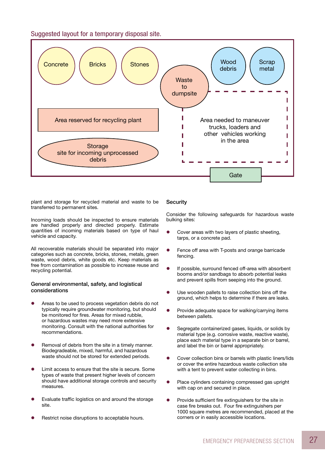#### Suggested layout for a temporary disposal site.



plant and storage for recycled material and waste to be transferred to permanent sites.

Incoming loads should be inspected to ensure materials are handled properly and directed properly. Estimate quantities of incoming materials based on type of haul vehicle and capacity.

All recoverable materials should be separated into major categories such as concrete, bricks, stones, metals, green waste, wood debris, white goods etc. Keep materials as free from contamination as possible to increase reuse and recycling potential.

#### General environmental, safety, and logistical considerations

- Areas to be used to process vegetation debris do not typically require groundwater monitoring, but should be monitored for fires. Areas for mixed rubble, or hazardous wastes may need more extensive monitoring. Consult with the national authorities for recommendations.
- Removal of debris from the site in a timely manner. Biodegradeable, mixed, harmful, and hazardous waste should not be stored for extended periods.
- Limit access to ensure that the site is secure. Some types of waste that present higher levels of concern should have additional storage controls and security measures.
- Evaluate traffic logistics on and around the storage site.
- Restrict noise disruptions to acceptable hours.

#### **Security**

Consider the following safeguards for hazardous waste bulking sites:

- **•** Cover areas with two layers of plastic sheeting, tarps, or a concrete pad.
- **•** Fence off area with T-posts and orange barricade fencing.
- If possible, surround fenced off-area with absorbent booms and/or sandbags to absorb potential leaks and prevent spills from seeping into the ground.
- Use wooden pallets to raise collection bins off the ground, which helps to determine if there are leaks.
- Provide adequate space for walking/carrying items between pallets.
- Segregate containerized gases, liquids, or solids by material type (e.g. corrosive waste, reactive waste), place each material type in a separate bin or barrel, and label the bin or barrel appropriately.
- Cover collection bins or barrels with plastic liners/lids or cover the entire hazardous waste collection site with a tent to prevent water collecting in bins.
- **•** Place cylinders containing compressed gas upright with cap on and secured in place.
- Provide sufficient fire extinguishers for the site in case fire breaks out. Four fire extinguishers per 1000 square metres are recommended, placed at the corners or in easily accessible locations.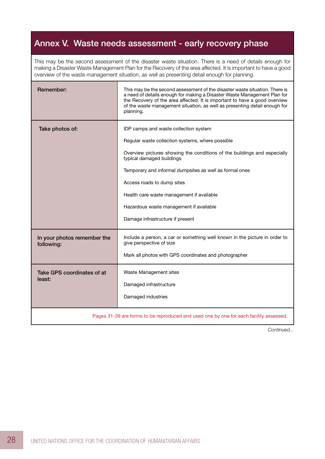# Annex V. Waste needs assessment - early recovery phase

This may be the second assessment of the disaster waste situation. There is a need of details enough for making a Disaster Waste Management Plan for the Recovery of the area affected. It is important to have a good overview of the waste management situation, as well as presenting detail enough for planning.

| Remember:                                 | This may be the second assessment of the disaster waste situation. There is<br>a need of details enough for making a Disaster Waste Management Plan for<br>the Recovery of the area affected. It is important to have a good overview<br>of the waste management situation, as well as presenting detail enough for<br>planning.                                                                                        |
|-------------------------------------------|-------------------------------------------------------------------------------------------------------------------------------------------------------------------------------------------------------------------------------------------------------------------------------------------------------------------------------------------------------------------------------------------------------------------------|
| Take photos of:                           | IDP camps and waste collection system<br>Regular waste collection systems, where possible<br>Overview pictures showing the conditions of the buildings and especially<br>typical damaged buildings<br>Temporary and informal dumpsites as well as formal ones<br>Access roads to dump sites<br>Health care waste management if available<br>Hazardous waste management if available<br>Damage infrastructure if present |
| In your photos remember the<br>following: | Include a person, a car or something well known in the picture in order to<br>give perspective of size<br>Mark all photos with GPS coordinates and photographer                                                                                                                                                                                                                                                         |
| Take GPS coordinates of at<br>least:      | Waste Management sites<br>Damaged infrastructure<br>Damaged industries                                                                                                                                                                                                                                                                                                                                                  |
|                                           | Pages 31-39 are forms to be reproduced and used one by one for each facility assessed.                                                                                                                                                                                                                                                                                                                                  |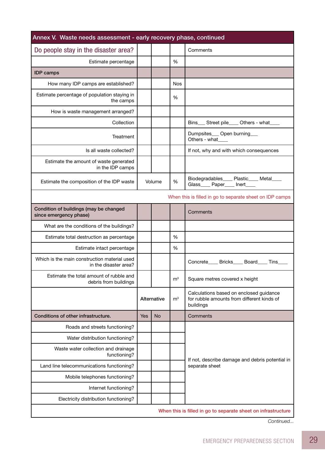| Annex V. Waste needs assessment - early recovery phase, continued     |     |             |                |                                                                                                    |
|-----------------------------------------------------------------------|-----|-------------|----------------|----------------------------------------------------------------------------------------------------|
| Do people stay in the disaster area?                                  |     |             |                | Comments                                                                                           |
| Estimate percentage                                                   |     |             | %              |                                                                                                    |
| <b>IDP</b> camps                                                      |     |             |                |                                                                                                    |
| How many IDP camps are established?                                   |     |             | <b>Nos</b>     |                                                                                                    |
| Estimate percentage of population staying in<br>the camps             |     |             | %              |                                                                                                    |
| How is waste management arranged?                                     |     |             |                |                                                                                                    |
| Collection                                                            |     |             |                | Bins___ Street pile____ Others - what____                                                          |
| Treatment                                                             |     |             |                | Dumpsites___ Open burning___<br>Others - what                                                      |
| Is all waste collected?                                               |     |             |                | If not, why and with which consequences                                                            |
| Estimate the amount of waste generated<br>in the IDP camps            |     |             |                |                                                                                                    |
| Estimate the composition of the IDP waste                             |     | Volume      | %              | Biodegradables____ Plastic____ Metal____<br>Glass_____ Paper____ Inert____                         |
|                                                                       |     |             |                | When this is filled in go to separate sheet on IDP camps                                           |
| Condition of buildings (may be changed<br>since emergency phase)      |     |             |                | Comments                                                                                           |
| What are the conditions of the buildings?                             |     |             |                |                                                                                                    |
| Estimate total destruction as percentage                              |     |             | %              |                                                                                                    |
| Estimate intact percentage                                            |     |             | %              |                                                                                                    |
| Which is the main construction material used<br>in the disaster area? |     |             |                | Concrete____ Bricks____ Board____ Tins____                                                         |
| Estimate the total amount of rubble and<br>debris from buildings      |     |             | m <sup>3</sup> | Square metres covered x height                                                                     |
|                                                                       |     | Alternative | m <sup>3</sup> | Calculations based on enclosed guidance<br>for rubble amounts from different kinds of<br>buildings |
| Conditions of other infrastructure.                                   | Yes | <b>No</b>   |                | Comments                                                                                           |
| Roads and streets functioning?                                        |     |             |                |                                                                                                    |
| Water distribution functioning?                                       |     |             |                |                                                                                                    |
| Waste water collection and drainage<br>functioning?                   |     |             |                |                                                                                                    |
| Land line telecommunications functioning?                             |     |             |                | If not, describe damage and debris potential in<br>separate sheet                                  |
| Mobile telephones functioning?                                        |     |             |                |                                                                                                    |
| Internet functioning?                                                 |     |             |                |                                                                                                    |
| Electricity distribution functioning?                                 |     |             |                |                                                                                                    |
|                                                                       |     |             |                | When this is filled in go to separate sheet on infrastructure                                      |

*Continued...*

 $\overline{\phantom{a}}$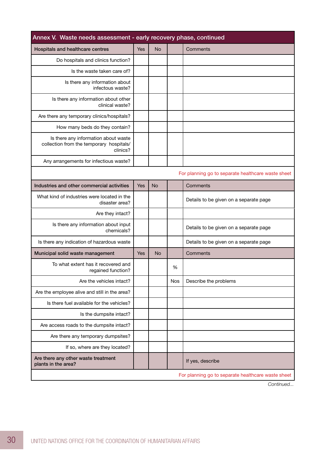| Annex V. Waste needs assessment - early recovery phase, continued                            |            |           |     |                                                    |
|----------------------------------------------------------------------------------------------|------------|-----------|-----|----------------------------------------------------|
| Hospitals and healthcare centres                                                             | <b>Yes</b> | <b>No</b> |     | Comments                                           |
| Do hospitals and clinics function?                                                           |            |           |     |                                                    |
| Is the waste taken care of?                                                                  |            |           |     |                                                    |
| Is there any information about<br>infectous waste?                                           |            |           |     |                                                    |
| Is there any information about other<br>clinical waste?                                      |            |           |     |                                                    |
| Are there any temporary clinics/hospitals?                                                   |            |           |     |                                                    |
| How many beds do they contain?                                                               |            |           |     |                                                    |
| Is there any information about waste<br>collection from the temporary hospitals/<br>clinics? |            |           |     |                                                    |
| Any arrangements for infectious waste?                                                       |            |           |     |                                                    |
| For planning go to separate healthcare waste sheet                                           |            |           |     |                                                    |
| Industries and other commercial activities                                                   | <b>Yes</b> | <b>No</b> |     | Comments                                           |
| What kind of industries were located in the<br>disaster area?                                |            |           |     | Details to be given on a separate page             |
| Are they intact?                                                                             |            |           |     |                                                    |
| Is there any information about input<br>chemicals?                                           |            |           |     | Details to be given on a separate page             |
| Is there any indication of hazardous waste                                                   |            |           |     | Details to be given on a separate page             |
| Municipal solid waste management                                                             | Yes        | <b>No</b> |     | Comments                                           |
| To what extent has it recovered and<br>regained function?                                    |            |           | %   |                                                    |
| Are the vehicles intact?                                                                     |            |           | Nos | Describe the problems                              |
| Are the employee alive and still in the area?                                                |            |           |     |                                                    |
| Is there fuel available for the vehicles?                                                    |            |           |     |                                                    |
| Is the dumpsite intact?                                                                      |            |           |     |                                                    |
| Are access roads to the dumpsite intact?                                                     |            |           |     |                                                    |
| Are there any temporary dumpsites?                                                           |            |           |     |                                                    |
| If so, where are they located?                                                               |            |           |     |                                                    |
| Are there any other waste treatment<br>plants in the area?                                   |            |           |     | If yes, describe                                   |
|                                                                                              |            |           |     | For planning go to separate healthcare waste sheet |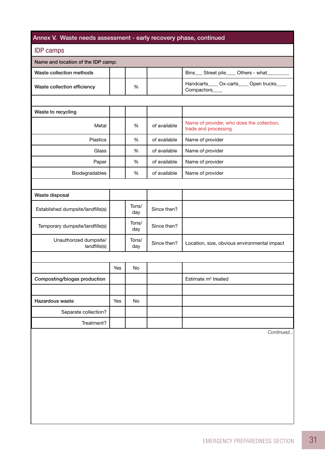# Annex V. Waste needs assessment - early recovery phase, continued

| <b>IDP</b> camps                       |     |              |              |                                                                    |
|----------------------------------------|-----|--------------|--------------|--------------------------------------------------------------------|
| Name and location of the IDP camp:     |     |              |              |                                                                    |
| Waste collection methods               |     |              |              | Street pile____ Others - what_<br>Bins                             |
| Waste collection efficiency            |     | %            |              | Handcarts____ Ox-carts____ Open trucks__<br>Compactors____         |
|                                        |     |              |              |                                                                    |
| Waste to recycling                     |     |              |              |                                                                    |
| Metal                                  |     | %            | of available | Name of provider, who does the collection,<br>trade and processing |
| <b>Plastics</b>                        |     | %            | of available | Name of provider                                                   |
| Glass                                  |     | %            | of available | Name of provider                                                   |
| Paper                                  |     | %            | of available | Name of provider                                                   |
| Biodegradables                         |     | %            | of available | Name of provider                                                   |
|                                        |     |              |              |                                                                    |
| Waste disposal                         |     |              |              |                                                                    |
| Established dumpsite/landfills(s)      |     | Tons/<br>day | Since then?  |                                                                    |
| Temporary dumpsite/landfills(s)        |     | Tons/<br>day | Since then?  |                                                                    |
| Unauthorized dumpsite/<br>landfills(s) |     | Tons/<br>day | Since then?  | Location, size, obvious environmental impact                       |
|                                        |     |              |              |                                                                    |
|                                        | Yes | No           |              |                                                                    |
| Composting/biogas production           |     |              |              | Estimate m <sup>3</sup> treated                                    |
|                                        |     |              |              |                                                                    |
| Hazardous waste                        | Yes | No           |              |                                                                    |
| Separate collection?                   |     |              |              |                                                                    |
| Treatment?                             |     |              |              |                                                                    |
|                                        |     |              |              | Continued                                                          |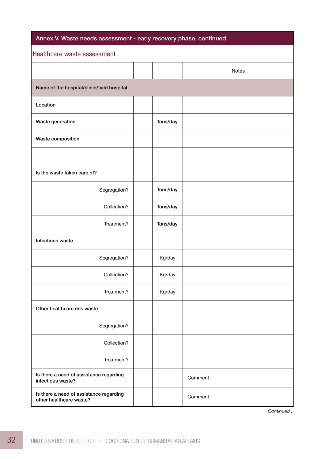|                                                                    | Annex V. Waste needs assessment - early recovery phase, continued |          |              |  |
|--------------------------------------------------------------------|-------------------------------------------------------------------|----------|--------------|--|
| Healthcare waste assessment                                        |                                                                   |          |              |  |
|                                                                    |                                                                   |          | <b>Notes</b> |  |
| Name of the hospital/clinic/field hospital                         |                                                                   |          |              |  |
| Location                                                           |                                                                   |          |              |  |
| Waste generation                                                   |                                                                   | Tons/day |              |  |
| Waste composition                                                  |                                                                   |          |              |  |
|                                                                    |                                                                   |          |              |  |
| Is the waste taken care of?                                        |                                                                   |          |              |  |
| Segregation?                                                       |                                                                   | Tons/day |              |  |
| Collection?                                                        |                                                                   | Tons/day |              |  |
| Treatment?                                                         |                                                                   | Tons/day |              |  |
| Infectious waste                                                   |                                                                   |          |              |  |
| Segregation?                                                       |                                                                   | Kg/day   |              |  |
| Collection?                                                        |                                                                   | Kg/day   |              |  |
| Treatment?                                                         |                                                                   | Kg/day   |              |  |
| Other healthcare risk waste                                        |                                                                   |          |              |  |
| Segregation?                                                       |                                                                   |          |              |  |
| Collection?                                                        |                                                                   |          |              |  |
| Treatment?                                                         |                                                                   |          |              |  |
| Is there a need of assistance regarding<br>infectious waste?       |                                                                   |          | Comment      |  |
| Is there a need of assistance regarding<br>other healthcare waste? |                                                                   |          | Comment      |  |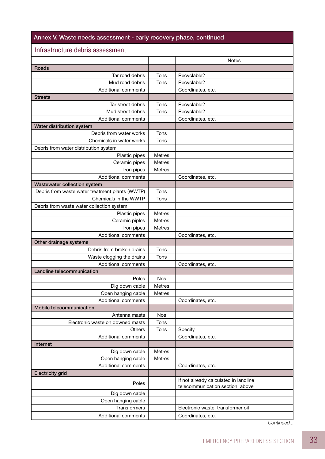#### Annex V. Waste needs assessment - early recovery phase, continued

#### Infrastructure debris assessment **Notes** Roads Tar road debris | Tons | Recyclable? Mud road debris Tons Recyclable? Additional comments | Coordinates, etc. **Streets** Tar street debris | Tons | Recyclable? Mud street debris | Tons | Recyclable? Additional comments | Coordinates, etc. Water distribution system Debris from water works  $\vert$  Tons Chemicals in water works | Tons Debris from water distribution system Plastic pipes | Metres Ceramic pipes | Metres Iron pipes | Metres Additional comments | Coordinates, etc. Wastewater collection system Debris from waste water treatment plants (WWTP) | Tons Chemicals in the WWTP  $\parallel$  Tons Debris from waste water collection system Plastic pipes | Metres Ceramic piples | Metres Iron pipes | Metres Additional comments | Coordinates, etc. Other drainage systems Debris from broken drains | Tons Waste clogging the drains | Tons Additional comments | Coordinates, etc. Landline telecommunication Poles Nos Dig down cable  $\parallel$  Metres Open hanging cable | Metres Additional comments | Coordinates, etc. Mobile telecommunication Antenna masts | Nos Electronic waste on downed masts | Tons Others | Tons | Specify Additional comments Coordinates, etc. Internet Dig down cable  $\vert$  Metres Open hanging cable | Metres Additional comments | Coordinates, etc. Electricity grid Poles | If not already calculated in landline telecommunication section, above Dig down cable Open hanging cable Transformers | Electronic waste, transformer oil Additional comments | Coordinates, etc.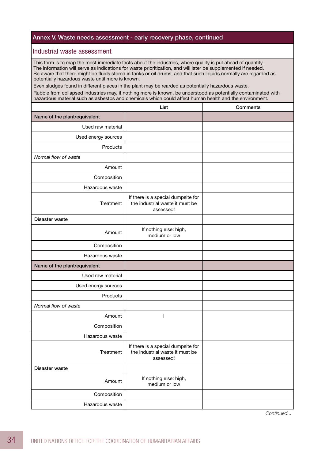#### Annex V. Waste needs assessment - early recovery phase, continued

#### Industrial waste assessment

This form is to map the most immediate facts about the industries, where quality is put ahead of quantity. The information will serve as indications for waste prioritization, and will later be supplemented if needed. Be aware that there might be fluids stored in tanks or oil drums, and that such liquids normally are regarded as potentially hazardous waste until more is known.

Even sludges found in different places in the plant may be rearded as potentially hazardous waste.

Rubble from collapsed industries may, if nothing more is known, be understood as potentially contaminated with hazardous material such as asbestos and chemicals which could affect human health and the environment.

|                              | List                                                                               | Comments |
|------------------------------|------------------------------------------------------------------------------------|----------|
| Name of the plant/equivalent |                                                                                    |          |
| Used raw material            |                                                                                    |          |
| Used energy sources          |                                                                                    |          |
| Products                     |                                                                                    |          |
| Normal flow of waste         |                                                                                    |          |
| Amount                       |                                                                                    |          |
| Composition                  |                                                                                    |          |
| Hazardous waste              |                                                                                    |          |
| Treatment                    | If there is a special dumpsite for<br>the industrial waste it must be<br>assessed! |          |
| Disaster waste               |                                                                                    |          |
| Amount                       | If nothing else: high,<br>medium or low                                            |          |
| Composition                  |                                                                                    |          |
| Hazardous waste              |                                                                                    |          |
| Name of the plant/equivalent |                                                                                    |          |
| Used raw material            |                                                                                    |          |
| Used energy sources          |                                                                                    |          |
| Products                     |                                                                                    |          |
| Normal flow of waste         |                                                                                    |          |
| Amount                       | $\mathsf{l}$                                                                       |          |
| Composition                  |                                                                                    |          |
| Hazardous waste              |                                                                                    |          |
| Treatment                    | If there is a special dumpsite for<br>the industrial waste it must be<br>assessed! |          |
| Disaster waste               |                                                                                    |          |
| Amount                       | If nothing else: high,<br>medium or low                                            |          |
| Composition                  |                                                                                    |          |
| Hazardous waste              |                                                                                    |          |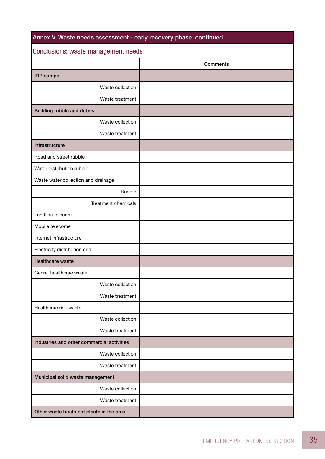| Annex V. Waste needs assessment - early recovery phase, continued |          |
|-------------------------------------------------------------------|----------|
| Conclusions: waste management needs                               |          |
|                                                                   | Comments |
| <b>IDP</b> camps                                                  |          |
| Waste collection                                                  |          |
| Waste treatment                                                   |          |
| <b>Building rubble and debris</b>                                 |          |
| Waste collection                                                  |          |
| Waste treatment                                                   |          |
| Infrastructure                                                    |          |
| Road and street rubble                                            |          |
| Water distribution rubble                                         |          |
| Waste water collection and drainage                               |          |
| Rubble                                                            |          |
| Treatment chemicals                                               |          |
| Landline telecom                                                  |          |
| Mobile telecome                                                   |          |
| Internet infrastructure                                           |          |
| Electricity distribution grid                                     |          |
| <b>Healthcare waste</b>                                           |          |
| Genral healthcare waste                                           |          |
| Wsste collection                                                  |          |
| Waste treatment                                                   |          |
| Healthcare risk waste                                             |          |
| Waste collection                                                  |          |
| Waste treatment                                                   |          |
| Industries and other commercial activities                        |          |
| Waste collection                                                  |          |
| Waste treatment                                                   |          |
| Municipal solid waste management                                  |          |
| Waste collection                                                  |          |
| Waste treatment                                                   |          |
| Other waste treatment plants in the area                          |          |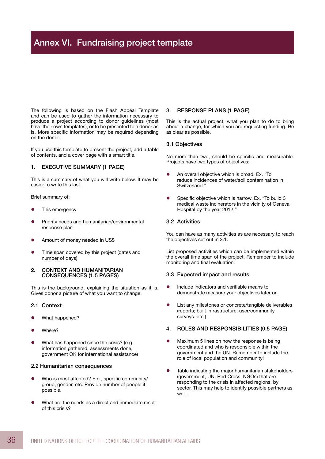# Annex VI. Fundraising project template

The following is based on the Flash Appeal Template and can be used to gather the information necessary to produce a project according to donor guidelines (most have their own templates), or to be presented to a donor as is. More specific information may be required depending on the donor.

If you use this template to present the project, add a table of contents, and a cover page with a smart title.

#### 1. EXECUTIVE SUMMARY (1 PAGE)

This is a summary of what you will write below. It may be easier to write this last.

Brief summary of:

- This emergency
- Priority needs and humanitarian/environmental response plan
- Amount of money needed in US\$
- Time span covered by this project (dates and number of days)
- 2. CONTEXT AND HUMANITARIAN CONSEQUENCES (1.5 PAGES)

This is the background, explaining the situation as it is. Gives donor a picture of what you want to change.

- 2.1 Context
- What happened?
- Where?
- What has happened since the crisis? (e.g. information gathered, assessments done, government OK for international assistance)

#### 2.2 Humanitarian consequences

- Who is most affected? E.g., specific community/ group, gender, etc. Provide number of people if possible.
- What are the needs as a direct and immediate result of this crisis?

#### 3. RESPONSE PLANS (1 PAGE)

This is the actual project, what you plan to do to bring about a change, for which you are requesting funding. Be as clear as possible.

#### 3.1 Objectives

No more than two, should be specific and measurable. Projects have two types of objectives:

- An overall objective which is broad. Ex. "To reduce incidences of water/soil contamination in Switzerland."
- Specific objective which is narrow. Ex. "To build 3 medical waste incinerators in the vicinity of Geneva Hospital by the year 2012."

#### 3.2 Activities

You can have as many activities as are necessary to reach the objectives set out in 3.1.

List proposed activities which can be implemented within the overall time span of the project. Remember to include monitoring and final evaluation.

#### 3.3 Expected impact and results

- Include indicators and verifiable means to demonstrate measure your objectives later on.
- List any milestones or concrete/tangible deliverables (reports; built infrastructure; user/community surveys. etc.)

#### 4. ROLES AND RESPONSIBILITIES (0.5 PAGE)

- Maximum 5 lines on how the response is being coordinated and who is responsible within the government and the UN. Remember to include the role of local population and community!
- Table indicating the major humanitarian stakeholders (government, UN, Red Cross, NGOs) that are responding to the crisis in affected regions, by sector. This may help to identify possible partners as well.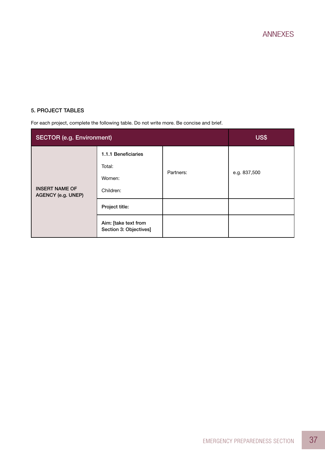ANNEXES

#### 5. PROJECT TABLES

For each project, complete the following table. Do not write more. Be concise and brief.

| <b>SECTOR (e.g. Environment)</b>                   | <b>US\$</b>                                          |           |              |
|----------------------------------------------------|------------------------------------------------------|-----------|--------------|
| <b>INSERT NAME OF</b><br><b>AGENCY (e.g. UNEP)</b> | 1.1.1 Beneficiaries<br>Total:<br>Women:<br>Children: | Partners: | e.g. 837,500 |
|                                                    | Project title:                                       |           |              |
|                                                    | Aim: [take text from<br>Section 3: Objectives]       |           |              |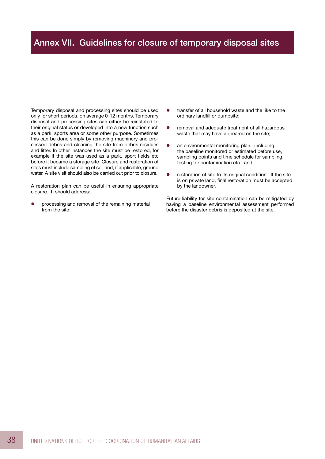# Annex VII. Guidelines for closure of temporary disposal sites

Temporary disposal and processing sites should be used only for short periods, on average 0-12 months. Temporary disposal and processing sites can either be reinstated to their original status or developed into a new function such as a park, sports area or some other purpose. Sometimes this can be done simply by removing machinery and processed debris and cleaning the site from debris residues and litter. In other instances the site must be restored, for example if the site was used as a park, sport fields etc before it became a storage site. Closure and restoration of sites must include sampling of soil and, if applicable, ground water. A site visit should also be carried out prior to closure.

A restoration plan can be useful in ensuring appropriate closure. It should address:

processing and removal of the remaining material from the site;

- transfer of all household waste and the like to the ordinary landfill or dumpsite;
- **•** removal and adequate treatment of all hazardous waste that may have appeared on the site;
- an environmental monitoring plan, including the baseline monitored or estimated before use, sampling points and time schedule for sampling, testing for contamination etc.; and
- $\bullet$  restoration of site to its original condition. If the site is on private land, final restoration must be accepted by the landowner.

Future liability for site contamination can be mitigated by having a baseline environmental assessment performed before the disaster debris is deposited at the site.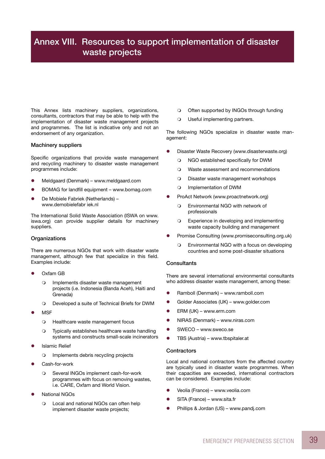# Annex VIII. Resources to support implementation of disaster waste projects

This Annex lists machinery suppliers, organizations, consultants, contractors that may be able to help with the implementation of disaster waste management projects and programmes. The list is indicative only and not an endorsement of any organization.

#### Machinery suppliers

Specific organizations that provide waste management and recycling machinery to disaster waste management programmes include:

- Meldgaard (Denmark) www.meldgaard.com
- BOMAG for landfill equipment www.bomag.com
- **•** De Mobiele Fabriek (Netherlands) www.demobielefabr iek.nl

The International Solid Waste Association (ISWA on www. iswa.org) can provide supplier details for machinery suppliers.

#### **Organizations**

There are numerous NGOs that work with disaster waste management, although few that specialize in this field. Examples include:

- Oxfam GB
	- O Implements disaster waste management projects (i.e. Indonesia (Banda Aceh), Haiti and Grenada)
	- O Developed a suite of Technical Briefs for DWM
- **MSF** 
	- O Healthcare waste management focus
	- O Typically establishes healthcare waste handling systems and constructs small-scale incinerators
- **Islamic Relief** 
	- O Implements debris recycling projects
- Cash-for-work
	- O Several INGOs implement cash-for-work programmes with focus on removing wastes, i.e. CARE, Oxfam and World Vision.
- **National NGOs** 
	- O Local and national NGOs can often help implement disaster waste projects;
- O Often supported by INGOs through funding
- O Useful implementing partners.

The following NGOs specialize in disaster waste management:

- Disaster Waste Recovery (www.disasterwaste.org)
	- O NGO established specifically for DWM
	- O Waste assessment and recommendations
	- O Disaster waste management workshops
	- O Implementation of DWM
- ProAct Network (www.proactnetwork.org)
	- O Environmental NGO with network of professionals
	- O Experience in developing and implementing waste capacity building and management
- **•** Promise Consulting (www.promiseconsulting.org.uk)
	- O Environmental NGO with a focus on developing countries and some post-disaster situations

#### **Consultants**

There are several international environmental consultants who address disaster waste management, among these:

- Ramboll (Denmark) www.ramboll.com
- Golder Associates (UK) www.golder.com
- ERM (UK) www.erm.com
- $\bullet$  NIRAS (Denmark) www.niras.com
- SWECO www.sweco.se
- TBS (Austria) www.tbspitaler.at

#### **Contractors**

Local and national contractors from the affected country are typically used in disaster waste programmes. When their capacities are exceeded, international contractors can be considered. Examples include:

- Veolia (France) www.veolia.com
- SITA (France) www.sita.fr
- Phillips & Jordan (US) www.pandj.com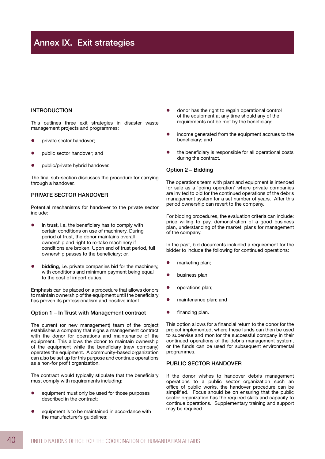# Annex IX. Exit strategies

#### INTRODUCTION

This outlines three exit strategies in disaster waste management projects and programmes:

- private sector handover;
- public sector handover; and
- public/private hybrid handover.

The final sub-section discusses the procedure for carrying through a handover.

#### PRIVATE SECTOR HANDOVER

Potential mechanisms for handover to the private sector include:

- in trust, i.e. the beneficiary has to comply with certain conditions on use of machinery. During period of trust, the donor maintains overall ownership and right to re-take machinery if conditions are broken. Upon end of trust period, full ownership passes to the beneficiary; or,
- bidding, i.e. private companies bid for the machinery, with conditions and minimum payment being equal to the cost of import duties.

Emphasis can be placed on a procedure that allows donors to maintain ownership of the equipment until the beneficiary has proven its professionalism and positive intent.

#### Option 1 – In Trust with Management contract

The current (or new management) team of the project establishes a company that signs a management contract with the donor for operations and maintenance of the equipment. This allows the donor to maintain ownership of the equipment while the beneficiary (new company) operates the equipment. A community-based organization can also be set up for this purpose and continue operations as a non-for profit organization.

The contract would typically stipulate that the beneficiary must comply with requirements including:

- equipment must only be used for those purposes described in the contract;
- equipment is to be maintained in accordance with the manufacturer's guidelines;
- donor has the right to regain operational control of the equipment at any time should any of the requirements not be met by the beneficiary;
- income generated from the equipment accrues to the beneficiary; and
- the beneficiary is responsible for all operational costs during the contract.

#### Option 2 – Bidding

The operations team with plant and equipment is intended for sale as a 'going operation' where private companies are invited to bid for the continued operations of the debris management system for a set number of years. After this period ownership can revert to the company.

For bidding procedures, the evaluation criteria can include: price willing to pay, demonstration of a good business plan, understanding of the market, plans for management of the company.

In the past, bid documents included a requirement for the bidder to include the following for continued operations:

- **•** marketing plan;
- $\bullet$  business plan;
- operations plan;
- maintenance plan; and
- financing plan.

This option allows for a financial return to the donor for the project implemented, where these funds can then be used to supervise and monitor the successful company in their continued operations of the debris management system, or the funds can be used for subsequent environmental programmes.

#### Public sector handover

If the donor wishes to handover debris management operations to a public sector organization such an office of public works, the handover procedure can be simplified. Focus should be on ensuring that the public sector organization has the required skills and capacity to continue operations. Supplementary training and support may be required.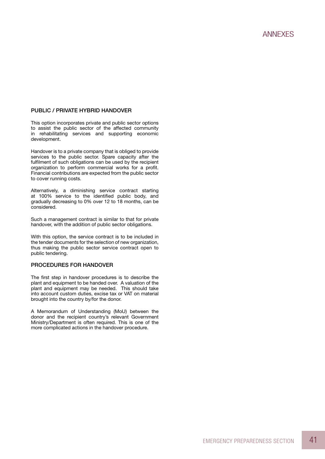#### Public / private hybrid handover

This option incorporates private and public sector options to assist the public sector of the affected community in rehabilitating services and supporting economic development.

Handover is to a private company that is obliged to provide services to the public sector. Spare capacity after the fulfilment of such obligations can be used by the recipient organization to perform commercial works for a profit. Financial contributions are expected from the public sector to cover running costs.

Alternatively, a diminishing service contract starting at 100% service to the identified public body, and gradually decreasing to 0% over 12 to 18 months, can be considered.

Such a management contract is similar to that for private handover, with the addition of public sector obligations.

With this option, the service contract is to be included in the tender documents for the selection of new organization, thus making the public sector service contract open to public tendering.

#### Procedures for handover

The first step in handover procedures is to describe the plant and equipment to be handed over. A valuation of the plant and equipment may be needed. This should take into account custom duties, excise tax or VAT on material brought into the country by/for the donor.

A Memorandum of Understanding (MoU) between the donor and the recipient country's relevant Government Ministry/Department is often required. This is one of the more complicated actions in the handover procedure.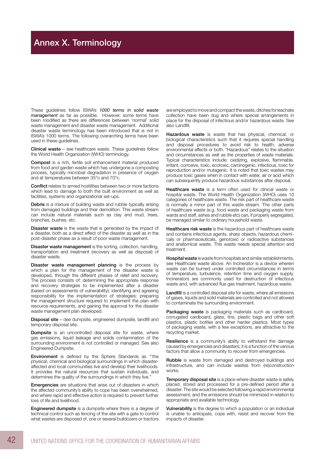# Disaster Waste Management Guidelines Annex X. Terminology

These guidelines follow ISWA's *1000 terms in solid waste management* as far as possible. However, some terms have been modified as there are differences between 'normal' solid waste management and disaster waste management. Additional disaster waste terminology has been introduced that is not in ISWA's 1000 terms. The following overarching terms have been used in these guidelines.

Clinical waste – see healthcare waste. These guidelines follow the World Health Organization (WHO) terminology.

Compost is a rich, fertile soil enhancement material produced from food and garden waste which has undergone a composting process, typically microbial degradation in presence of oxygen and at temperatures between 35°c and 70°c.

Conflict relates to armed hostilities between two or more factions which lead to damage to both the built environment as well as facilities, systems and organizational set-ups.

Debris is a mixture of building waste and rubble typically arising from damaged buildings and their demolition. This waste stream can include natural materials such as clay and mud, trees, branches, bushes, etc.

**Disaster waste** is the waste that is generated by the impact of a disaster, both as a direct effect of the disaster as well as in the post-disaster phase as a result of poor waste management.

Disaster waste management is the sorting, collection, handling, transportation and treatment (recovery as well as disposal) of disaster waste.

Disaster waste management planning is the process by which a plan for the management of the disaster waste is developed, through the different phases of relief and recovery. The process consists of: determining the appropriate response and recovery strategies to be implemented after a disaster (based on assessments of vulnerability); identifying and agreeing responsibility for the implementation of strategies; preparing the management structure required to implement the plan with resource requirements, and gaining the approval for the disaster waste management plan developed.

Disposal site – dee dumpsite, engineered dumpsite, landfill and temporary disposal site.

Dumpsite is an uncontrolled disposal site for waste, where gas emissions, liquid leakage and solids contamination of the surrounding environment is not controlled or managed. See also Engineered Dumpsite.

Environment is defined by the Sphere Standards as "'the physical, chemical and biological surroundings in which disasteraffected and local communities live and develop their livelihoods. It provides the natural resources that sustain individuals, and determines the quality of the surroundings in which they live."

Emergencies are situations that arise out of disasters in which the affected community's ability to cope has been overwhelmed, and where rapid and effective action is required to prevent further loss of life and livelihood.

Engineered dumpsite is a dumpsite where there is a degree of technical control such as fencing of the site with a gate to control what wastes are disposed of, one or several bulldozers or tractors

are employed to move and compact the waste, ditches for leachate collection have been dug and where special arrangements in place for the disposal of infectious and/or hazardous waste. See also Landfill.

Hazardous waste is waste that has physical, chemical, or biological characteristics such that it requires special handling and disposal procedures to avoid risk to health, adverse environmental effects or both. "Hazardous" relates to the situation and circumstances as well as the properties of waste materials. Typical characteristics include: oxidizing, explosive, flammable, irritant, corrosive, toxic, ecotoxic, carcinogenic, infectious, toxic for reproduction and/or mutagenic. It is noted that toxic wastes may produce toxic gases when in contact with water, air or acid which can subsequently produce hazardous substances after disposal.

Healthcare waste is a term often used for clinical waste or hospital waste. The World Health Organization (WHO) uses 10 categories of healthcare waste. The risk part of healthcare waste is normally a minor part of this waste stream. The other parts of healthcare waste (e.g. food waste and packaging waste from wards and staff, ashes and rubble etc) can, if properly segregated, be managed similar to ordinary household waste.

Healthcare risk waste is the hazardous part of healthcare waste and contains infectious agents, sharp objects, hazardous chemicals or pharmaceuticals, genotoxic or radioactive substances and anatomical waste. This waste needs special attention and treatment.

Hospital waste is waste from hospitals and similar establishments, see Healthcare waste above. An Incinerator is a device wherein waste can be burned under controlled circumstances in terms of temperature, turbulence, retention time and oxygen supply. Incinerators are commonly used for destruction of infectious waste and, with advanced flue gas treatment, hazardous waste.

Landfill is a controlled disposal site for waste, where all emissions of gases, liquids and solid materials are controlled and not allowed to contaminate the surrounding environment.

Packaging waste is packaging materials such as cardboard, corrugated cardboard, glass, tins, plastic bags and other soft plastics, plastic bottles and other harder plastics. Most types of packaging waste, with a few exceptions, are attractive to the recycling market.

Resilience is a community's ability to withstand the damage caused by emergencies and disasters; it is a function of the various factors that allow a community to recover from emergencies.

Rubble is waste from damaged and destroyed buildings and infrastructure, and can include wastes from (re)construction works.

Temporary disposal site is a place where disaster waste is safely placed, stored and processed for a pre-defined period after a disaster. The site would be selected following a rapid environmental assessment, and the emissions should be minimized in relation to appropriate and available technology.

Vulnerability is the degree to which a population or an individual is unable to anticipate, cope with, resist and recover from the impacts of disaster.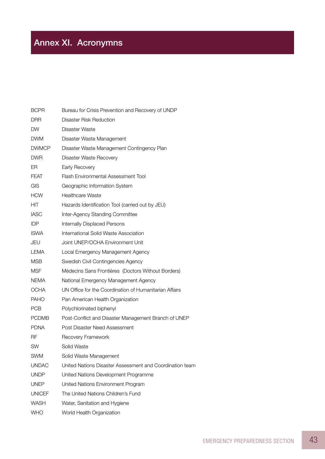# Disaster Waste Management Guidelines Annex XI. Acronymns

| <b>BCPR</b>   | Bureau for Crisis Prevention and Recovery of UNDP        |
|---------------|----------------------------------------------------------|
| <b>DRR</b>    | Disaster Risk Reduction                                  |
| <b>DW</b>     | Disaster Waste                                           |
| DWM           | Disaster Waste Management                                |
| <b>DWMCP</b>  | Disaster Waste Management Contingency Plan               |
| DWR           | Disaster Waste Recovery                                  |
| ER            | Early Recovery                                           |
| FEAT          | Flash Environmental Assessment Tool                      |
| GIS           | Geographic Information System                            |
| <b>HCW</b>    | <b>Healthcare Waste</b>                                  |
| НIТ           | Hazards Identification Tool (carried out by JEU)         |
| <b>IASC</b>   | Inter-Agency Standing Committee                          |
| <b>IDP</b>    | <b>Internally Displaced Persons</b>                      |
| <b>ISWA</b>   | International Solid Waste Association                    |
| JEU           | Joint UNEP/OCHA Environment Unit                         |
| <b>LEMA</b>   | Local Emergency Management Agency                        |
| <b>MSB</b>    | Swedish Civil Contingencies Agency                       |
| <b>MSF</b>    | Médecins Sans Frontières (Doctors Without Borders)       |
| <b>NEMA</b>   | National Emergency Management Agency                     |
| <b>OCHA</b>   | UN Office for the Coordination of Humanitarian Affairs   |
| <b>PAHO</b>   | Pan American Health Organization                         |
| <b>PCB</b>    | Polychlorinated biphenyl                                 |
| <b>PCDMB</b>  | Post-Conflict and Disaster Management Branch of UNEP     |
| <b>PDNA</b>   | Post Disaster Need Assessment                            |
| <b>RF</b>     | Recovery Framework                                       |
| SW            | Solid Waste                                              |
| <b>SWM</b>    | Solid Waste Management                                   |
| <b>UNDAC</b>  | United Nations Disaster Assessment and Coordination team |
| <b>UNDP</b>   | United Nations Development Programme                     |
| <b>UNEP</b>   | United Nations Environment Program                       |
| <b>UNICEF</b> | The United Nations Children's Fund                       |
| <b>WASH</b>   | Water, Sanitation and Hygiene                            |
| <b>WHO</b>    | World Health Organization                                |